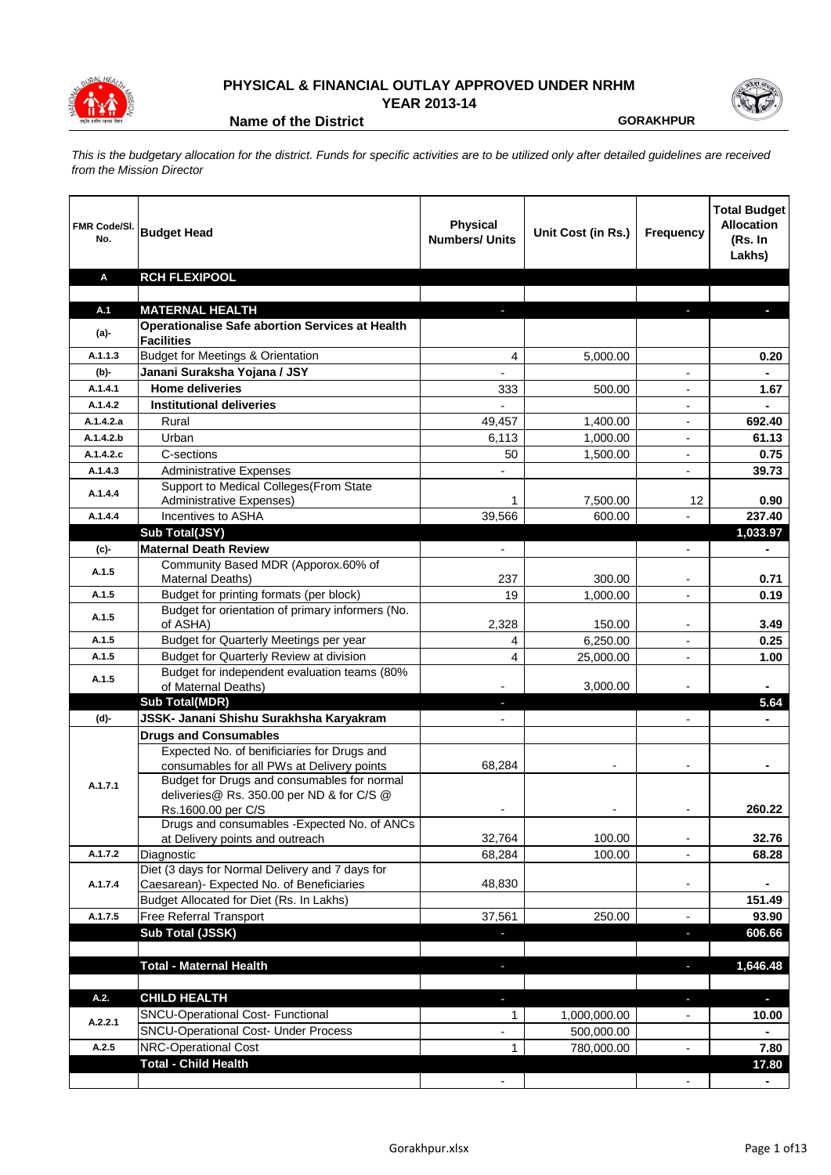

## **PHYSICAL & FINANCIAL OUTLAY APPROVED UNDER NRHM**

**YEAR 2013-14**

**Name of the District CORAKHPUR** 

*This is the budgetary allocation for the district. Funds for specific activities are to be utilized only after detailed guidelines are received from the Mission Director*

| FMR Code/SI.<br>No. | <b>Budget Head</b>                                                                    | <b>Physical</b><br><b>Numbers/ Units</b> | Unit Cost (in Rs.) | Frequency                | <b>Total Budget</b><br><b>Allocation</b><br>(Rs. In<br>Lakhs) |
|---------------------|---------------------------------------------------------------------------------------|------------------------------------------|--------------------|--------------------------|---------------------------------------------------------------|
| Α                   | <b>RCH FLEXIPOOL</b>                                                                  |                                          |                    |                          |                                                               |
|                     |                                                                                       |                                          |                    |                          |                                                               |
| A.1                 | <b>MATERNAL HEALTH</b>                                                                |                                          |                    |                          |                                                               |
| (a)-                | <b>Operationalise Safe abortion Services at Health</b><br><b>Facilities</b>           |                                          |                    |                          |                                                               |
| A.1.1.3             | <b>Budget for Meetings &amp; Orientation</b>                                          | 4                                        | 5,000.00           |                          | 0.20                                                          |
| (b)-                | Janani Suraksha Yojana / JSY                                                          |                                          |                    |                          |                                                               |
| A.1.4.1             | <b>Home deliveries</b>                                                                | 333                                      | 500.00             | $\overline{a}$           | 1.67                                                          |
| A.1.4.2             | <b>Institutional deliveries</b>                                                       |                                          |                    | $\blacksquare$           |                                                               |
| A.1.4.2.a           | Rural                                                                                 | 49,457                                   | 1,400.00           | $\overline{\phantom{a}}$ | 692.40                                                        |
| A.1.4.2.b           | Urban                                                                                 | 6,113                                    | 1,000.00           | $\overline{\phantom{a}}$ | 61.13                                                         |
| A.1.4.2.c           | C-sections                                                                            | 50                                       | 1,500.00           | $\overline{\phantom{a}}$ | 0.75                                                          |
| A.1.4.3             | <b>Administrative Expenses</b>                                                        |                                          |                    | $\overline{\phantom{a}}$ | 39.73                                                         |
| A.1.4.4             | Support to Medical Colleges (From State<br>Administrative Expenses)                   | 1                                        | 7,500.00           | 12                       | 0.90                                                          |
| A.1.4.4             | Incentives to ASHA                                                                    | 39,566                                   | 600.00             |                          | 237.40                                                        |
|                     | Sub Total(JSY)                                                                        |                                          |                    |                          | 1,033.97                                                      |
| (c)                 | <b>Maternal Death Review</b>                                                          |                                          |                    |                          |                                                               |
|                     | Community Based MDR (Apporox.60% of                                                   |                                          |                    |                          |                                                               |
| A.1.5               | Maternal Deaths)                                                                      | 237                                      | 300.00             |                          | 0.71                                                          |
| A.1.5               | Budget for printing formats (per block)                                               | 19                                       | 1,000.00           |                          | 0.19                                                          |
| A.1.5               | Budget for orientation of primary informers (No.<br>of ASHA)                          | 2,328                                    | 150.00             |                          | 3.49                                                          |
| A.1.5               | Budget for Quarterly Meetings per year                                                | 4                                        | 6,250.00           |                          | 0.25                                                          |
| A.1.5               | <b>Budget for Quarterly Review at division</b>                                        | 4                                        | 25,000.00          |                          | 1.00                                                          |
| A.1.5               | Budget for independent evaluation teams (80%                                          |                                          |                    |                          |                                                               |
|                     | of Maternal Deaths)                                                                   |                                          | 3,000.00           |                          |                                                               |
|                     | <b>Sub Total(MDR)</b>                                                                 |                                          |                    |                          | 5.64                                                          |
| (d)-                | JSSK- Janani Shishu Surakhsha Karyakram                                               |                                          |                    |                          |                                                               |
|                     | <b>Drugs and Consumables</b><br>Expected No. of benificiaries for Drugs and           |                                          |                    |                          |                                                               |
|                     | consumables for all PWs at Delivery points                                            | 68,284                                   |                    |                          |                                                               |
|                     | Budget for Drugs and consumables for normal                                           |                                          |                    |                          |                                                               |
| A.1.7.1             | deliveries@ Rs. 350.00 per ND & for C/S @                                             |                                          |                    |                          |                                                               |
|                     | Rs.1600.00 per C/S                                                                    |                                          |                    |                          | 260.22                                                        |
|                     | Drugs and consumables - Expected No. of ANCs                                          |                                          |                    |                          |                                                               |
|                     | at Delivery points and outreach                                                       | 32,764                                   | 100.00             | $\overline{\phantom{a}}$ | 32.76                                                         |
| A.1.7.2             | Diagnostic                                                                            | 68,284                                   | 100.00             |                          | 68.28                                                         |
|                     | Diet (3 days for Normal Delivery and 7 days for                                       |                                          |                    |                          |                                                               |
| A.1.7.4             | Caesarean)- Expected No. of Beneficiaries<br>Budget Allocated for Diet (Rs. In Lakhs) | 48,830                                   |                    | $\blacksquare$           | 151.49                                                        |
| A.1.7.5             | Free Referral Transport                                                               | 37,561                                   | 250.00             | ä,                       | 93.90                                                         |
|                     | Sub Total (JSSK)                                                                      |                                          |                    | ٠                        | 606.66                                                        |
|                     |                                                                                       |                                          |                    |                          |                                                               |
|                     | <b>Total - Maternal Health</b>                                                        |                                          |                    | ٠                        | 1,646.48                                                      |
| A.2.                | <b>CHILD HEALTH</b>                                                                   | a,                                       |                    | $\overline{\phantom{a}}$ | $\overline{\phantom{a}}$                                      |
|                     | SNCU-Operational Cost- Functional                                                     | 1                                        | 1,000,000.00       | $\overline{\phantom{a}}$ | 10.00                                                         |
| A.2.2.1             | <b>SNCU-Operational Cost- Under Process</b>                                           | $\overline{\phantom{0}}$                 | 500,000.00         |                          |                                                               |
| A.2.5               | NRC-Operational Cost                                                                  | 1                                        | 780,000.00         | $\overline{\phantom{a}}$ | 7.80                                                          |
|                     | <b>Total - Child Health</b>                                                           |                                          |                    |                          | 17.80                                                         |
|                     |                                                                                       |                                          |                    | $\overline{\phantom{a}}$ | ٠                                                             |
|                     |                                                                                       |                                          |                    |                          |                                                               |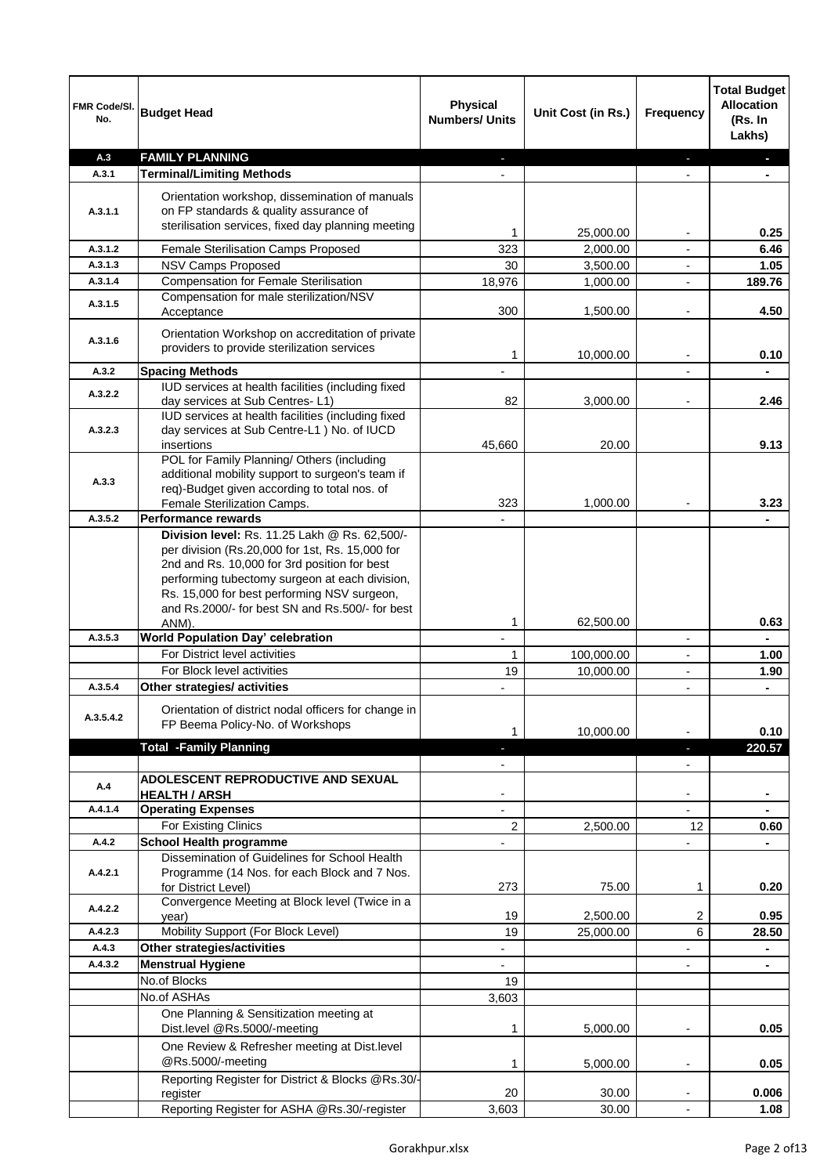| FMR Code/SI.<br>No.  | <b>Budget Head</b>                                                                                                                                                                                                                                                                                   | <b>Physical</b><br><b>Numbers/ Units</b> | Unit Cost (in Rs.) | Frequency                | <b>Total Budget</b><br><b>Allocation</b><br>(Rs. In<br>Lakhs) |
|----------------------|------------------------------------------------------------------------------------------------------------------------------------------------------------------------------------------------------------------------------------------------------------------------------------------------------|------------------------------------------|--------------------|--------------------------|---------------------------------------------------------------|
| A.3                  | <b>FAMILY PLANNING</b>                                                                                                                                                                                                                                                                               |                                          |                    |                          |                                                               |
| A.3.1                | <b>Terminal/Limiting Methods</b>                                                                                                                                                                                                                                                                     |                                          |                    |                          |                                                               |
| A.3.1.1              | Orientation workshop, dissemination of manuals<br>on FP standards & quality assurance of<br>sterilisation services, fixed day planning meeting                                                                                                                                                       |                                          |                    |                          |                                                               |
|                      |                                                                                                                                                                                                                                                                                                      | 1                                        | 25,000.00          |                          | 0.25                                                          |
| A.3.1.2<br>A.3.1.3   | Female Sterilisation Camps Proposed                                                                                                                                                                                                                                                                  | 323                                      | 2,000.00           | $\blacksquare$           | 6.46                                                          |
|                      | NSV Camps Proposed                                                                                                                                                                                                                                                                                   | 30                                       | 3,500.00           |                          | 1.05                                                          |
| A.3.1.4              | <b>Compensation for Female Sterilisation</b><br>Compensation for male sterilization/NSV                                                                                                                                                                                                              | 18,976                                   | 1,000.00           |                          | 189.76                                                        |
| A.3.1.5              | Acceptance                                                                                                                                                                                                                                                                                           | 300                                      | 1,500.00           |                          | 4.50                                                          |
| A.3.1.6              | Orientation Workshop on accreditation of private<br>providers to provide sterilization services                                                                                                                                                                                                      | 1                                        | 10,000.00          | $\overline{\phantom{a}}$ | 0.10                                                          |
| A.3.2                | <b>Spacing Methods</b>                                                                                                                                                                                                                                                                               | $\overline{\phantom{0}}$                 |                    | $\overline{\phantom{a}}$ | $\blacksquare$                                                |
| A.3.2.2              | IUD services at health facilities (including fixed<br>day services at Sub Centres-L1)                                                                                                                                                                                                                | 82                                       | 3,000.00           |                          | 2.46                                                          |
| A.3.2.3              | IUD services at health facilities (including fixed<br>day services at Sub Centre-L1 ) No. of IUCD<br>insertions                                                                                                                                                                                      | 45,660                                   | 20.00              |                          | 9.13                                                          |
| A.3.3                | POL for Family Planning/ Others (including<br>additional mobility support to surgeon's team if<br>req)-Budget given according to total nos. of<br>Female Sterilization Camps.                                                                                                                        | 323                                      | 1,000.00           |                          | 3.23                                                          |
| A.3.5.2              | <b>Performance rewards</b>                                                                                                                                                                                                                                                                           |                                          |                    |                          |                                                               |
|                      | Division level: Rs. 11.25 Lakh @ Rs. 62,500/-<br>per division (Rs.20,000 for 1st, Rs. 15,000 for<br>2nd and Rs. 10,000 for 3rd position for best<br>performing tubectomy surgeon at each division,<br>Rs. 15,000 for best performing NSV surgeon,<br>and Rs.2000/- for best SN and Rs.500/- for best |                                          |                    |                          |                                                               |
|                      | ANM).                                                                                                                                                                                                                                                                                                | 1                                        | 62,500.00          |                          | 0.63                                                          |
| A.3.5.3              | World Population Day' celebration                                                                                                                                                                                                                                                                    | $\overline{\phantom{a}}$                 |                    | $\overline{\phantom{a}}$ |                                                               |
|                      | For District level activities                                                                                                                                                                                                                                                                        | 1                                        | 100,000.00         | $\overline{\phantom{a}}$ | 1.00                                                          |
|                      | For Block level activities                                                                                                                                                                                                                                                                           | 19                                       | 10,000.00          |                          | 1.90                                                          |
| A.3.5.4<br>A.3.5.4.2 | Other strategies/ activities<br>Orientation of district nodal officers for change in<br>FP Beema Policy-No. of Workshops                                                                                                                                                                             | 1                                        | 10,000.00          |                          | 0.10                                                          |
|                      | <b>Total -Family Planning</b>                                                                                                                                                                                                                                                                        | ÷.                                       |                    | $\overline{\phantom{a}}$ | 220.57                                                        |
|                      |                                                                                                                                                                                                                                                                                                      | $\overline{\phantom{a}}$                 |                    | $\overline{\phantom{a}}$ |                                                               |
| A.4                  | ADOLESCENT REPRODUCTIVE AND SEXUAL                                                                                                                                                                                                                                                                   | $\overline{\phantom{a}}$                 |                    | $\overline{\phantom{a}}$ |                                                               |
| A.4.1.4              | <b>HEALTH / ARSH</b><br><b>Operating Expenses</b>                                                                                                                                                                                                                                                    |                                          |                    |                          |                                                               |
|                      | For Existing Clinics                                                                                                                                                                                                                                                                                 | 2                                        | 2,500.00           | 12 <sup>2</sup>          | 0.60                                                          |
| A.4.2                | <b>School Health programme</b>                                                                                                                                                                                                                                                                       |                                          |                    |                          |                                                               |
|                      | Dissemination of Guidelines for School Health                                                                                                                                                                                                                                                        |                                          |                    |                          |                                                               |
| A.4.2.1              | Programme (14 Nos. for each Block and 7 Nos.<br>for District Level)                                                                                                                                                                                                                                  | 273                                      | 75.00              | 1                        | 0.20                                                          |
| A.4.2.2              | Convergence Meeting at Block level (Twice in a                                                                                                                                                                                                                                                       |                                          |                    |                          |                                                               |
|                      | year)                                                                                                                                                                                                                                                                                                | 19                                       | 2,500.00           | 2                        | 0.95                                                          |
| A.4.2.3              | Mobility Support (For Block Level)                                                                                                                                                                                                                                                                   | 19                                       | 25,000.00          | 6                        | 28.50                                                         |
| A.4.3                | Other strategies/activities                                                                                                                                                                                                                                                                          | ÷,                                       |                    | -                        | ۰                                                             |
| A.4.3.2              | <b>Menstrual Hygiene</b>                                                                                                                                                                                                                                                                             | ÷,                                       |                    | $\overline{\phantom{a}}$ | $\blacksquare$                                                |
|                      | No.of Blocks                                                                                                                                                                                                                                                                                         | 19                                       |                    |                          |                                                               |
|                      | No.of ASHAs                                                                                                                                                                                                                                                                                          | 3,603                                    |                    |                          |                                                               |
|                      | One Planning & Sensitization meeting at<br>Dist.level @Rs.5000/-meeting                                                                                                                                                                                                                              | 1                                        | 5,000.00           |                          | 0.05                                                          |
|                      | One Review & Refresher meeting at Dist.level<br>@Rs.5000/-meeting                                                                                                                                                                                                                                    | 1                                        | 5,000.00           |                          | 0.05                                                          |
|                      | Reporting Register for District & Blocks @Rs.30/-                                                                                                                                                                                                                                                    |                                          |                    |                          |                                                               |
|                      | register<br>Reporting Register for ASHA @Rs.30/-register                                                                                                                                                                                                                                             | 20<br>3,603                              | 30.00<br>30.00     |                          | 0.006<br>1.08                                                 |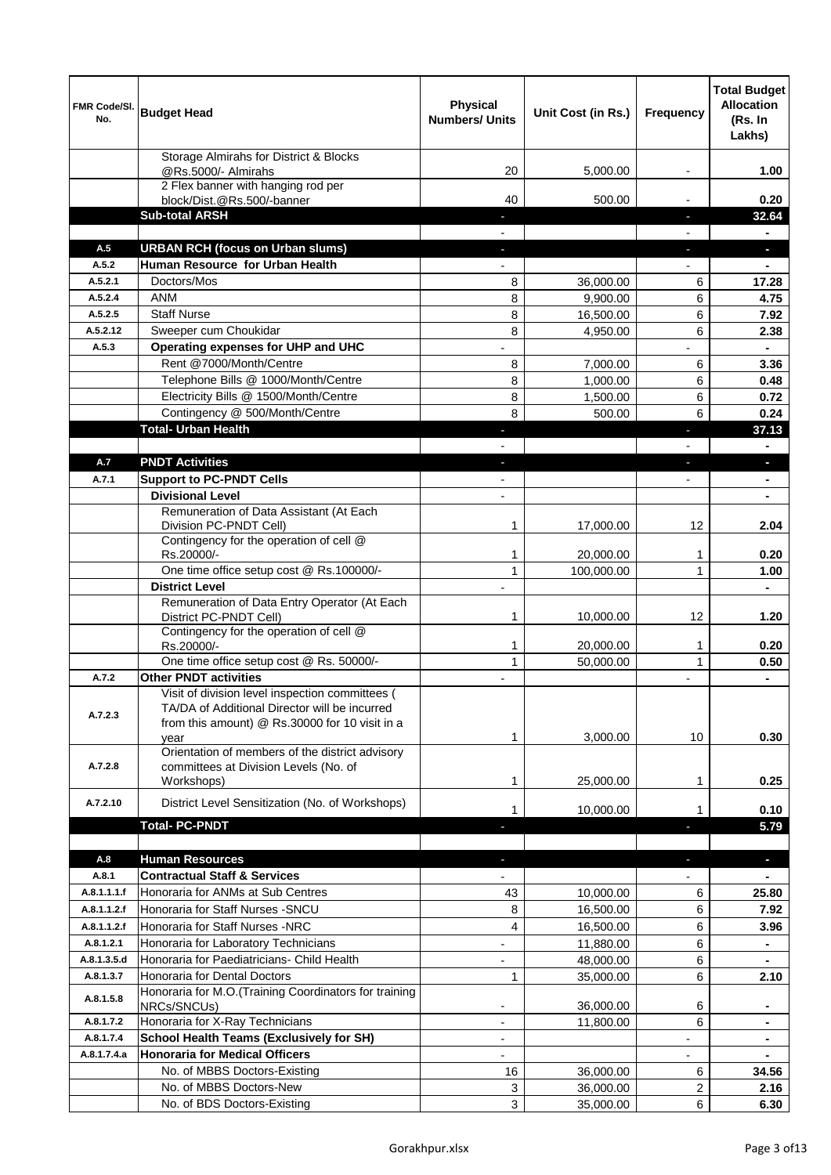| FMR Code/SI.<br>No. | <b>Budget Head</b>                                                                                                                                         | <b>Physical</b><br><b>Numbers/ Units</b> | Unit Cost (in Rs.)    | <b>Frequency</b>         | <b>Total Budget</b><br><b>Allocation</b><br>(Rs. In<br>Lakhs) |
|---------------------|------------------------------------------------------------------------------------------------------------------------------------------------------------|------------------------------------------|-----------------------|--------------------------|---------------------------------------------------------------|
|                     | Storage Almirahs for District & Blocks<br>@Rs.5000/- Almirahs                                                                                              | 20                                       | 5,000.00              |                          | 1.00                                                          |
|                     | 2 Flex banner with hanging rod per                                                                                                                         |                                          |                       |                          |                                                               |
|                     | block/Dist.@Rs.500/-banner<br><b>Sub-total ARSH</b>                                                                                                        | 40                                       | 500.00                |                          | 0.20<br>32.64                                                 |
|                     |                                                                                                                                                            |                                          |                       |                          |                                                               |
| A.5                 | <b>URBAN RCH (focus on Urban slums)</b>                                                                                                                    |                                          |                       |                          | $\overline{\phantom{a}}$                                      |
| A.5.2               | Human Resource for Urban Health                                                                                                                            |                                          |                       |                          |                                                               |
| A.5.2.1             | Doctors/Mos                                                                                                                                                | 8                                        | 36,000.00             | 6                        | 17.28                                                         |
| A.5.2.4<br>A.5.2.5  | <b>ANM</b><br><b>Staff Nurse</b>                                                                                                                           | 8<br>8                                   | 9,900.00<br>16,500.00 | 6<br>6                   | 4.75<br>7.92                                                  |
| A.5.2.12            | Sweeper cum Choukidar                                                                                                                                      | 8                                        | 4,950.00              | 6                        | 2.38                                                          |
| A.5.3               | Operating expenses for UHP and UHC                                                                                                                         | $\overline{a}$                           |                       |                          |                                                               |
|                     | Rent @7000/Month/Centre                                                                                                                                    | 8                                        | 7,000.00              | 6                        | 3.36                                                          |
|                     | Telephone Bills @ 1000/Month/Centre                                                                                                                        | 8                                        | 1,000.00              | 6                        | 0.48                                                          |
|                     | Electricity Bills @ 1500/Month/Centre                                                                                                                      | 8                                        | 1,500.00              | 6                        | 0.72                                                          |
|                     | Contingency @ 500/Month/Centre                                                                                                                             | 8                                        | 500.00                | 6                        | 0.24                                                          |
|                     | <b>Total- Urban Health</b>                                                                                                                                 | ٠                                        |                       | ٠                        | 37.13                                                         |
|                     |                                                                                                                                                            | $\overline{\phantom{0}}$                 |                       | $\overline{\phantom{0}}$ | $\blacksquare$                                                |
| A.7                 | <b>PNDT Activities</b>                                                                                                                                     | $\bullet$                                |                       | ٠                        | P.                                                            |
| A.7.1               | <b>Support to PC-PNDT Cells</b>                                                                                                                            | $\overline{\phantom{a}}$                 |                       | $\overline{\phantom{a}}$ | $\blacksquare$                                                |
|                     | <b>Divisional Level</b>                                                                                                                                    | $\overline{\phantom{a}}$                 |                       |                          | ٠                                                             |
|                     | Remuneration of Data Assistant (At Each<br>Division PC-PNDT Cell)                                                                                          | 1                                        | 17,000.00             | 12                       | 2.04                                                          |
|                     | Contingency for the operation of cell @<br>Rs.20000/-                                                                                                      | 1                                        | 20,000.00             | 1                        | 0.20                                                          |
|                     | One time office setup cost @ Rs.100000/-                                                                                                                   | 1                                        | 100,000.00            | 1                        | 1.00                                                          |
|                     | <b>District Level</b>                                                                                                                                      | $\overline{\phantom{m}}$                 |                       |                          | $\blacksquare$                                                |
|                     | Remuneration of Data Entry Operator (At Each<br>District PC-PNDT Cell)                                                                                     | 1                                        | 10,000.00             | 12                       | 1.20                                                          |
|                     | Contingency for the operation of cell @                                                                                                                    |                                          |                       |                          |                                                               |
|                     | Rs.20000/-                                                                                                                                                 | 1                                        | 20,000.00             | 1                        | 0.20                                                          |
| A.7.2               | One time office setup cost @ Rs. 50000/-<br><b>Other PNDT activities</b>                                                                                   | 1<br>$\overline{\phantom{a}}$            | 50,000.00             | 1                        | 0.50<br>٠                                                     |
| A.7.2.3             | Visit of division level inspection committees (<br>TA/DA of Additional Director will be incurred<br>from this amount) @ Rs.30000 for 10 visit in a<br>year | 1                                        | 3,000.00              | 10                       | 0.30                                                          |
| A.7.2.8             | Orientation of members of the district advisory<br>committees at Division Levels (No. of                                                                   |                                          |                       |                          |                                                               |
|                     | Workshops)                                                                                                                                                 | 1                                        | 25,000.00             | 1                        | 0.25                                                          |
| A.7.2.10            | District Level Sensitization (No. of Workshops)                                                                                                            | 1                                        | 10,000.00             | 1                        | 0.10                                                          |
|                     | <b>Total- PC-PNDT</b>                                                                                                                                      |                                          |                       |                          | 5.79                                                          |
| A.8                 | <b>Human Resources</b>                                                                                                                                     |                                          |                       | ٠                        | J,                                                            |
| A.8.1               | <b>Contractual Staff &amp; Services</b>                                                                                                                    |                                          |                       |                          |                                                               |
| A.8.1.1.1.f         | Honoraria for ANMs at Sub Centres                                                                                                                          | 43                                       | 10,000.00             | 6                        | 25.80                                                         |
| A.8.1.1.2.f         | Honoraria for Staff Nurses - SNCU                                                                                                                          | 8                                        | 16,500.00             | 6                        | 7.92                                                          |
| A.8.1.1.2.f         | Honoraria for Staff Nurses -NRC                                                                                                                            | 4                                        | 16,500.00             | 6                        | 3.96                                                          |
| A.8.1.2.1           | Honoraria for Laboratory Technicians                                                                                                                       | $\overline{\phantom{m}}$                 | 11,880.00             | 6                        |                                                               |
| A.8.1.3.5.d         | Honoraria for Paediatricians- Child Health                                                                                                                 |                                          | 48,000.00             | 6                        |                                                               |
| A.8.1.3.7           | Honoraria for Dental Doctors                                                                                                                               | 1                                        | 35,000.00             | 6                        | 2.10                                                          |
| A.8.1.5.8           | Honoraria for M.O.(Training Coordinators for training<br>NRCs/SNCUs)                                                                                       | $\overline{\phantom{a}}$                 | 36,000.00             | 6                        | ٠                                                             |
| A.8.1.7.2           | Honoraria for X-Ray Technicians                                                                                                                            | $\overline{\phantom{a}}$                 | 11,800.00             | 6                        | ۰                                                             |
| A.8.1.7.4           | School Health Teams (Exclusively for SH)                                                                                                                   | $\frac{1}{2}$                            |                       | -                        | ۰                                                             |
| A.8.1.7.4.a         | <b>Honoraria for Medical Officers</b>                                                                                                                      | $\overline{\phantom{0}}$                 |                       |                          | ۰                                                             |
|                     | No. of MBBS Doctors-Existing                                                                                                                               | 16                                       | 36,000.00             | 6                        | 34.56                                                         |
|                     | No. of MBBS Doctors-New                                                                                                                                    | 3                                        | 36,000.00             | 2                        | 2.16                                                          |
|                     | No. of BDS Doctors-Existing                                                                                                                                | 3                                        | 35,000.00             | 6                        | 6.30                                                          |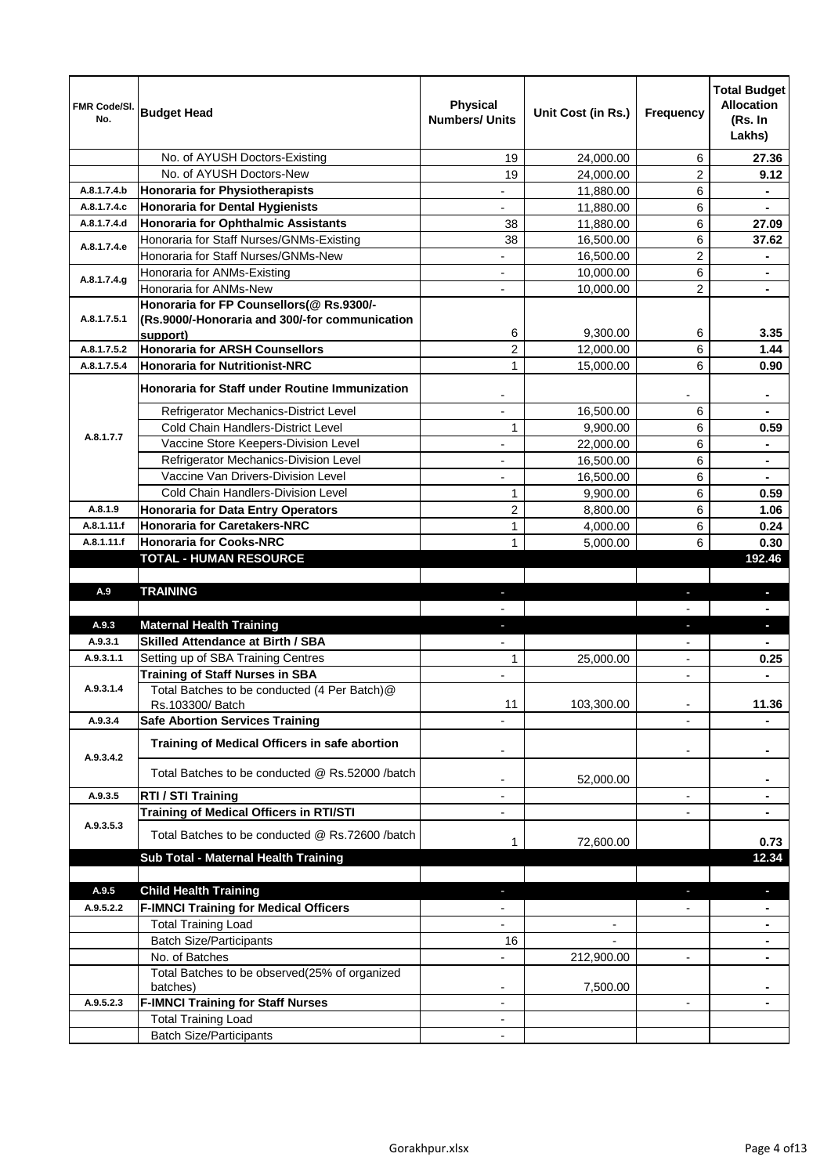| FMR Code/SI.<br>No. | <b>Budget Head</b>                                                                                     | <b>Physical</b><br><b>Numbers/ Units</b> | Unit Cost (in Rs.) | <b>Frequency</b>         | <b>Total Budget</b><br><b>Allocation</b><br>(Rs. In<br>Lakhs) |
|---------------------|--------------------------------------------------------------------------------------------------------|------------------------------------------|--------------------|--------------------------|---------------------------------------------------------------|
|                     | No. of AYUSH Doctors-Existing                                                                          | 19                                       | 24,000.00          | 6                        | 27.36                                                         |
|                     | No. of AYUSH Doctors-New                                                                               | 19                                       | 24,000.00          | $\overline{2}$           | 9.12                                                          |
| A.8.1.7.4.b         | Honoraria for Physiotherapists                                                                         |                                          | 11,880.00          | 6                        |                                                               |
| A.8.1.7.4.c         | Honoraria for Dental Hygienists                                                                        |                                          | 11,880.00          | 6                        |                                                               |
| A.8.1.7.4.d         | Honoraria for Ophthalmic Assistants                                                                    | 38                                       | 11,880.00          | 6                        | 27.09                                                         |
| A.8.1.7.4.e         | Honoraria for Staff Nurses/GNMs-Existing                                                               | 38                                       | 16,500.00          | 6                        | 37.62                                                         |
|                     | Honoraria for Staff Nurses/GNMs-New                                                                    |                                          | 16,500.00          | 2                        |                                                               |
| A.8.1.7.4.g         | Honoraria for ANMs-Existing                                                                            |                                          | 10,000.00          | 6                        | $\blacksquare$                                                |
|                     | Honoraria for ANMs-New                                                                                 |                                          | 10,000.00          | $\overline{2}$           |                                                               |
| A.8.1.7.5.1         | Honoraria for FP Counsellors(@ Rs.9300/-<br>(Rs.9000/-Honoraria and 300/-for communication<br>support) | 6                                        | 9,300.00           | 6                        | 3.35                                                          |
| A.8.1.7.5.2         | Honoraria for ARSH Counsellors                                                                         | $\overline{2}$                           | 12,000.00          | 6                        | 1.44                                                          |
| A.8.1.7.5.4         | <b>Honoraria for Nutritionist-NRC</b>                                                                  | $\mathbf{1}$                             | 15,000.00          | 6                        | 0.90                                                          |
|                     | Honoraria for Staff under Routine Immunization                                                         | $\overline{\phantom{a}}$                 |                    |                          | ۰                                                             |
|                     | Refrigerator Mechanics-District Level                                                                  | $\overline{\phantom{a}}$                 | 16,500.00          | 6                        | $\blacksquare$                                                |
| A.8.1.7.7           | Cold Chain Handlers-District Level                                                                     | 1                                        | 9,900.00           | 6                        | 0.59                                                          |
|                     | Vaccine Store Keepers-Division Level                                                                   | $\overline{\phantom{a}}$                 | 22,000.00          | 6                        | ۰                                                             |
|                     | Refrigerator Mechanics-Division Level                                                                  | $\overline{\phantom{a}}$                 | 16,500.00          | 6                        | ۰                                                             |
|                     | Vaccine Van Drivers-Division Level                                                                     | $\blacksquare$                           | 16,500.00          | 6                        |                                                               |
|                     | Cold Chain Handlers-Division Level                                                                     | 1                                        | 9,900.00           | 6                        | 0.59                                                          |
| A.8.1.9             | Honoraria for Data Entry Operators                                                                     | $\overline{c}$                           | 8,800.00           | 6                        | 1.06                                                          |
| A.8.1.11.f          | <b>Honoraria for Caretakers-NRC</b>                                                                    | $\mathbf{1}$                             | 4,000.00           | 6                        | 0.24                                                          |
| A.8.1.11.f          | <b>Honoraria for Cooks-NRC</b>                                                                         | 1                                        | 5,000.00           | 6                        | 0.30                                                          |
|                     | <b>TOTAL - HUMAN RESOURCE</b>                                                                          |                                          |                    |                          | 192.46                                                        |
|                     |                                                                                                        |                                          |                    |                          |                                                               |
|                     |                                                                                                        |                                          |                    |                          |                                                               |
| A.9                 | <b>TRAINING</b>                                                                                        | $\sim$                                   |                    |                          |                                                               |
|                     |                                                                                                        |                                          |                    |                          |                                                               |
| A.9.3               | <b>Maternal Health Training</b>                                                                        | H.                                       |                    | ÷,                       | a,                                                            |
| A.9.3.1             | <b>Skilled Attendance at Birth / SBA</b>                                                               |                                          |                    |                          |                                                               |
| A.9.3.1.1           | Setting up of SBA Training Centres                                                                     | 1                                        | 25,000.00          | $\blacksquare$           | 0.25                                                          |
| A.9.3.1.4           | <b>Training of Staff Nurses in SBA</b><br>Total Batches to be conducted (4 Per Batch)@                 |                                          |                    | $\overline{\phantom{a}}$ | $\blacksquare$                                                |
| A.9.3.4             | Rs.103300/ Batch                                                                                       | 11                                       | 103,300.00         | $\overline{\phantom{a}}$ | 11.36                                                         |
|                     | <b>Safe Abortion Services Training</b><br>Training of Medical Officers in safe abortion                |                                          |                    | $\blacksquare$           |                                                               |
| A.9.3.4.2           | Total Batches to be conducted @ Rs.52000 /batch                                                        | $\overline{\phantom{a}}$                 | 52,000.00          |                          | ٠                                                             |
| A.9.3.5             | RTI / STI Training                                                                                     | $\overline{\phantom{a}}$                 |                    | $\overline{\phantom{a}}$ | ۰                                                             |
| A.9.3.5.3           | <b>Training of Medical Officers in RTI/STI</b><br>Total Batches to be conducted @ Rs.72600 /batch      | $\overline{\phantom{a}}$                 |                    |                          |                                                               |
|                     |                                                                                                        | 1                                        | 72,600.00          |                          | 0.73                                                          |
|                     | Sub Total - Maternal Health Training                                                                   |                                          |                    |                          | 12.34                                                         |
|                     |                                                                                                        |                                          |                    |                          |                                                               |
| A.9.5               | <b>Child Health Training</b>                                                                           |                                          |                    |                          | b.                                                            |
| A.9.5.2.2           | <b>F-IMNCI Training for Medical Officers</b>                                                           |                                          |                    |                          |                                                               |
|                     | <b>Total Training Load</b>                                                                             |                                          | $\blacksquare$     |                          |                                                               |
|                     | <b>Batch Size/Participants</b>                                                                         | 16                                       |                    |                          |                                                               |
|                     | No. of Batches                                                                                         |                                          | 212,900.00         | $\overline{\phantom{a}}$ |                                                               |
|                     | Total Batches to be observed(25% of organized                                                          |                                          |                    |                          |                                                               |
| A.9.5.2.3           | batches)                                                                                               |                                          | 7,500.00           |                          |                                                               |
|                     | <b>F-IMNCI Training for Staff Nurses</b><br><b>Total Training Load</b>                                 | ۰                                        |                    |                          |                                                               |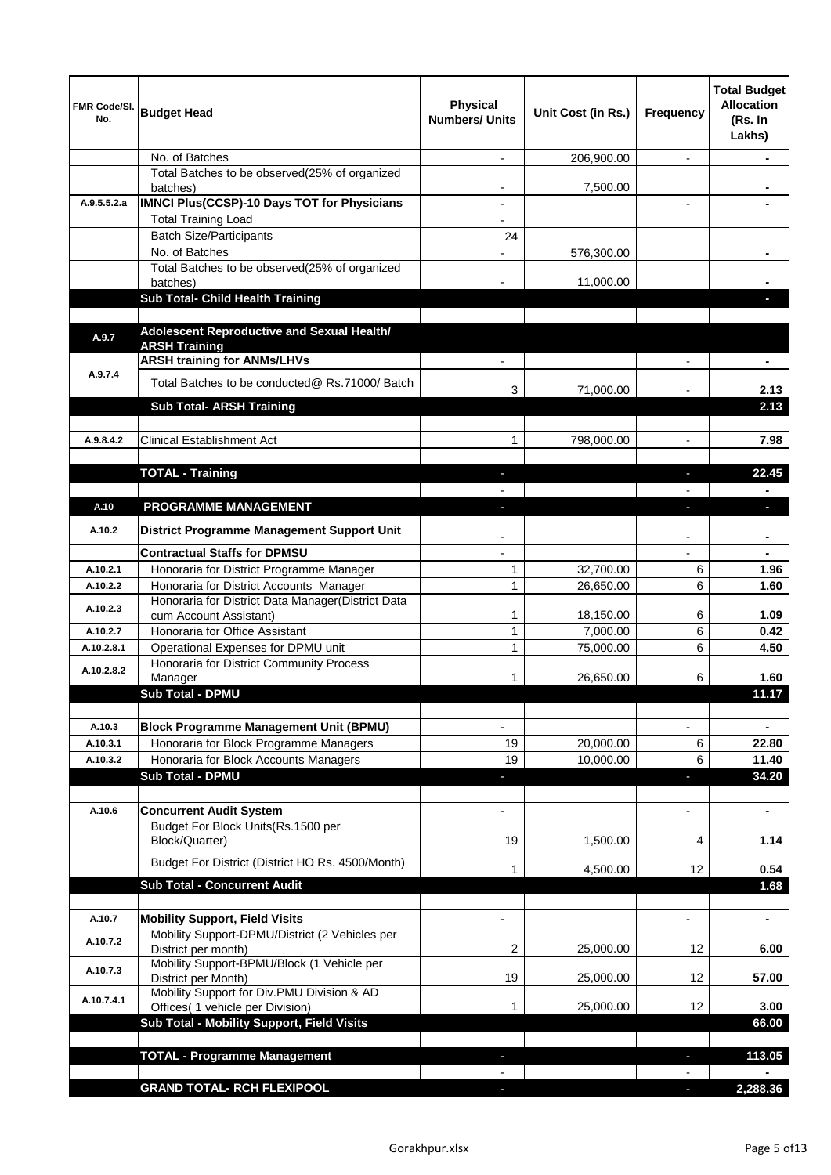| FMR Code/SI.<br>No. | <b>Budget Head</b>                                                                           | <b>Physical</b><br><b>Numbers/ Units</b> | Unit Cost (in Rs.) | Frequency                | <b>Total Budget</b><br><b>Allocation</b><br>(Rs. In<br>Lakhs) |
|---------------------|----------------------------------------------------------------------------------------------|------------------------------------------|--------------------|--------------------------|---------------------------------------------------------------|
|                     | No. of Batches                                                                               | $\overline{a}$                           | 206,900.00         | $\blacksquare$           |                                                               |
|                     | Total Batches to be observed(25% of organized<br>batches)                                    | $\overline{a}$                           | 7,500.00           |                          |                                                               |
| A.9.5.5.2.a         | <b>IMNCI Plus(CCSP)-10 Days TOT for Physicians</b>                                           | $\blacksquare$                           |                    | $\overline{\phantom{a}}$ |                                                               |
|                     | <b>Total Training Load</b>                                                                   |                                          |                    |                          |                                                               |
|                     | <b>Batch Size/Participants</b>                                                               | 24                                       |                    |                          |                                                               |
|                     | No. of Batches                                                                               |                                          | 576,300.00         |                          |                                                               |
|                     | Total Batches to be observed(25% of organized<br>batches)                                    |                                          | 11,000.00          |                          |                                                               |
|                     | Sub Total- Child Health Training                                                             |                                          |                    |                          |                                                               |
| A.9.7               | Adolescent Reproductive and Sexual Health/<br><b>ARSH Training</b>                           |                                          |                    |                          |                                                               |
|                     | <b>ARSH training for ANMs/LHVs</b>                                                           |                                          |                    |                          |                                                               |
| A.9.7.4             | Total Batches to be conducted@ Rs.71000/ Batch                                               | 3                                        | 71,000.00          |                          | 2.13                                                          |
|                     | <b>Sub Total- ARSH Training</b>                                                              |                                          |                    |                          | 2.13                                                          |
| A.9.8.4.2           | <b>Clinical Establishment Act</b>                                                            | 1                                        | 798,000.00         |                          | 7.98                                                          |
|                     |                                                                                              |                                          |                    |                          |                                                               |
|                     | <b>TOTAL - Training</b>                                                                      |                                          |                    |                          | 22.45                                                         |
|                     |                                                                                              |                                          |                    |                          |                                                               |
| A.10                | <b>PROGRAMME MANAGEMENT</b>                                                                  |                                          |                    |                          | H,                                                            |
| A.10.2              | District Programme Management Support Unit                                                   |                                          |                    |                          |                                                               |
|                     | <b>Contractual Staffs for DPMSU</b>                                                          |                                          |                    |                          |                                                               |
| A.10.2.1            | Honoraria for District Programme Manager                                                     | 1                                        | 32,700.00          | 6                        | 1.96                                                          |
| A.10.2.2            | Honoraria for District Accounts Manager<br>Honoraria for District Data Manager(District Data | 1                                        | 26,650.00          | 6                        | 1.60                                                          |
| A.10.2.3            | cum Account Assistant)                                                                       | 1                                        | 18,150.00          | 6                        | 1.09                                                          |
| A.10.2.7            | Honoraria for Office Assistant                                                               | 1                                        | 7,000.00           | 6                        | 0.42                                                          |
| A.10.2.8.1          | Operational Expenses for DPMU unit                                                           | 1                                        | 75,000.00          | 6                        | 4.50                                                          |
| A.10.2.8.2          | Honoraria for District Community Process<br>Manager                                          |                                          | 26,650.00          | 6                        | 1.60                                                          |
|                     | <b>Sub Total - DPMU</b>                                                                      |                                          |                    |                          | 11.17                                                         |
|                     |                                                                                              |                                          |                    |                          |                                                               |
| A.10.3              | <b>Block Programme Management Unit (BPMU)</b>                                                |                                          |                    |                          |                                                               |
| A.10.3.1            | Honoraria for Block Programme Managers                                                       | 19                                       | 20,000.00          | $\,6$                    | 22.80                                                         |
| A.10.3.2            | Honoraria for Block Accounts Managers                                                        | 19                                       | 10,000.00          | 6                        | 11.40                                                         |
|                     | <b>Sub Total - DPMU</b>                                                                      |                                          |                    | $\overline{\phantom{a}}$ | 34.20                                                         |
| A.10.6              | <b>Concurrent Audit System</b>                                                               |                                          |                    | $\blacksquare$           | ۰                                                             |
|                     | Budget For Block Units(Rs.1500 per                                                           |                                          |                    |                          |                                                               |
|                     | Block/Quarter)                                                                               | 19                                       | 1,500.00           | 4                        | 1.14                                                          |
|                     | Budget For District (District HO Rs. 4500/Month)                                             | 1                                        | 4,500.00           | 12                       | 0.54                                                          |
|                     | <b>Sub Total - Concurrent Audit</b>                                                          |                                          |                    |                          | 1.68                                                          |
| A.10.7              | <b>Mobility Support, Field Visits</b>                                                        |                                          |                    |                          | $\blacksquare$                                                |
|                     | Mobility Support-DPMU/District (2 Vehicles per                                               |                                          |                    |                          |                                                               |
| A.10.7.2            | District per month)                                                                          | 2                                        | 25,000.00          | 12                       | 6.00                                                          |
| A.10.7.3            | Mobility Support-BPMU/Block (1 Vehicle per<br>District per Month)                            | 19                                       | 25,000.00          | 12                       | 57.00                                                         |
| A.10.7.4.1          | Mobility Support for Div.PMU Division & AD<br>Offices( 1 vehicle per Division)               | 1                                        | 25,000.00          | 12                       | 3.00                                                          |
|                     | Sub Total - Mobility Support, Field Visits                                                   |                                          |                    |                          | 66.00                                                         |
|                     |                                                                                              |                                          |                    |                          |                                                               |
|                     | <b>TOTAL - Programme Management</b>                                                          |                                          |                    | ٠                        | 113.05                                                        |
|                     | <b>GRAND TOTAL- RCH FLEXIPOOL</b>                                                            |                                          |                    |                          |                                                               |
|                     |                                                                                              |                                          |                    | J.                       | 2,288.36                                                      |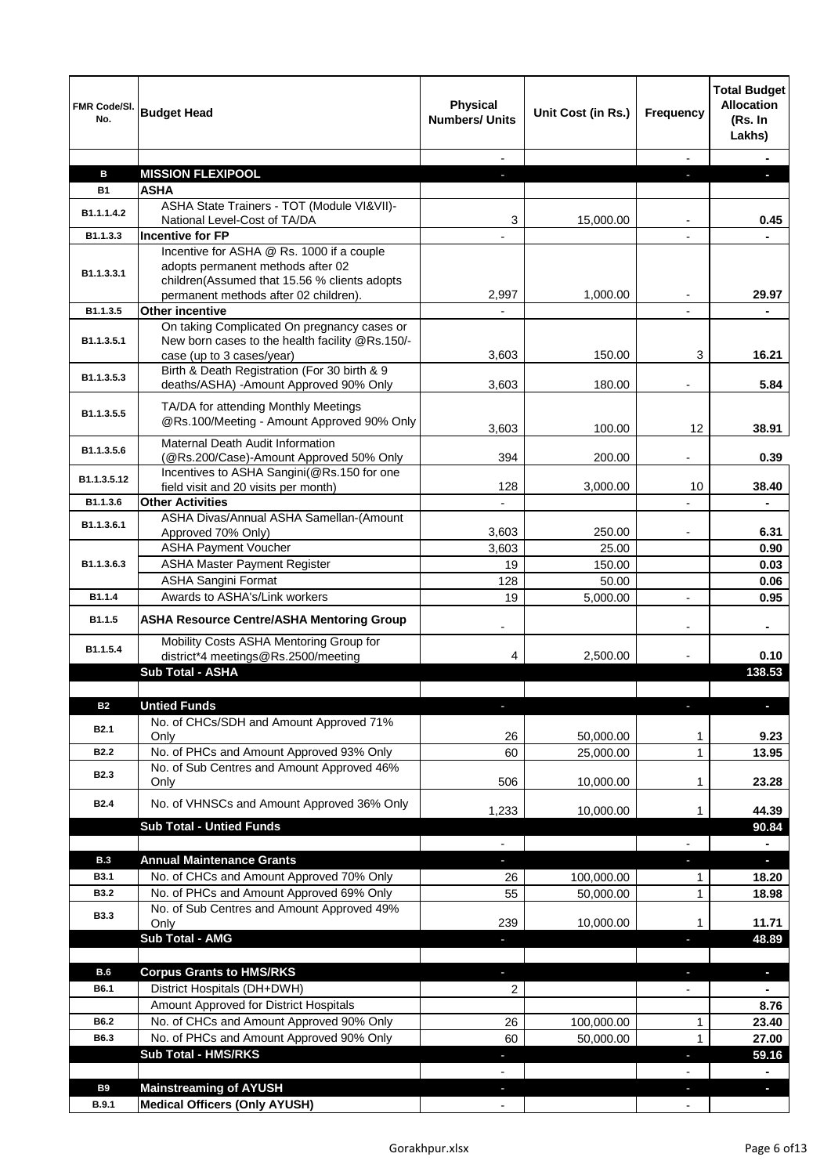| FMR Code/SI.<br>No.        | <b>Budget Head</b>                                                                    | <b>Physical</b><br><b>Numbers/ Units</b> | Unit Cost (in Rs.) | Frequency                | <b>Total Budget</b><br><b>Allocation</b><br>(Rs. In<br>Lakhs) |
|----------------------------|---------------------------------------------------------------------------------------|------------------------------------------|--------------------|--------------------------|---------------------------------------------------------------|
|                            |                                                                                       |                                          |                    |                          |                                                               |
| в                          | <b>MISSION FLEXIPOOL</b>                                                              |                                          |                    |                          |                                                               |
| <b>B1</b>                  | <b>ASHA</b>                                                                           |                                          |                    |                          |                                                               |
| B1.1.1.4.2                 | ASHA State Trainers - TOT (Module VI&VII)-<br>National Level-Cost of TA/DA            | 3                                        | 15,000.00          |                          | 0.45                                                          |
| B1.1.3.3                   | <b>Incentive for FP</b>                                                               |                                          |                    |                          |                                                               |
|                            | Incentive for ASHA @ Rs. 1000 if a couple                                             |                                          |                    |                          |                                                               |
| B1.1.3.3.1                 | adopts permanent methods after 02                                                     |                                          |                    |                          |                                                               |
|                            | children(Assumed that 15.56 % clients adopts                                          |                                          |                    |                          |                                                               |
| B1.1.3.5                   | permanent methods after 02 children).<br>Other incentive                              | 2,997                                    | 1,000.00           |                          | 29.97                                                         |
|                            | On taking Complicated On pregnancy cases or                                           |                                          |                    |                          |                                                               |
| B <sub>1.1</sub> , 3, 5, 1 | New born cases to the health facility @Rs.150/-                                       |                                          |                    |                          |                                                               |
|                            | case (up to 3 cases/year)                                                             | 3,603                                    | 150.00             | 3                        | 16.21                                                         |
| B <sub>1.1</sub> , 3, 5, 3 | Birth & Death Registration (For 30 birth & 9                                          |                                          |                    |                          |                                                               |
|                            | deaths/ASHA) -Amount Approved 90% Only                                                | 3,603                                    | 180.00             |                          | 5.84                                                          |
| B1.1.3.5.5                 | TA/DA for attending Monthly Meetings                                                  |                                          |                    |                          |                                                               |
|                            | @Rs.100/Meeting - Amount Approved 90% Only                                            | 3,603                                    | 100.00             | 12                       | 38.91                                                         |
| B1.1.3.5.6                 | <b>Maternal Death Audit Information</b>                                               |                                          |                    |                          |                                                               |
|                            | (@Rs.200/Case)-Amount Approved 50% Only<br>Incentives to ASHA Sangini(@Rs.150 for one | 394                                      | 200.00             |                          | 0.39                                                          |
| B1.1.3.5.12                | field visit and 20 visits per month)                                                  | 128                                      | 3,000.00           | 10                       | 38.40                                                         |
| B1.1.3.6                   | <b>Other Activities</b>                                                               |                                          |                    |                          |                                                               |
| B1.1.3.6.1                 | ASHA Divas/Annual ASHA Samellan-(Amount                                               |                                          |                    |                          |                                                               |
|                            | Approved 70% Only)                                                                    | 3,603                                    | 250.00             |                          | 6.31                                                          |
|                            | <b>ASHA Payment Voucher</b>                                                           | 3,603                                    | 25.00              |                          | 0.90                                                          |
| B1.1.3.6.3                 | <b>ASHA Master Payment Register</b>                                                   | 19                                       | 150.00             |                          | 0.03                                                          |
|                            | ASHA Sangini Format                                                                   | 128                                      | 50.00              |                          | 0.06                                                          |
| B1.1.4                     | Awards to ASHA's/Link workers                                                         | 19                                       | 5,000.00           | $\overline{\phantom{a}}$ | 0.95                                                          |
| B1.1.5                     | <b>ASHA Resource Centre/ASHA Mentoring Group</b>                                      |                                          |                    |                          |                                                               |
| B1.1.5.4                   | Mobility Costs ASHA Mentoring Group for                                               |                                          |                    |                          |                                                               |
|                            | district*4 meetings@Rs.2500/meeting                                                   | 4                                        | 2,500.00           |                          | 0.10                                                          |
|                            | Sub Total - ASHA                                                                      |                                          |                    |                          | 138.53                                                        |
|                            |                                                                                       |                                          |                    |                          |                                                               |
| <b>B2</b>                  | <b>Untied Funds</b><br>No. of CHCs/SDH and Amount Approved 71%                        | ٠                                        |                    |                          | o,                                                            |
| <b>B2.1</b>                | Only                                                                                  | 26                                       | 50,000.00          | 1                        | 9.23                                                          |
| <b>B2.2</b>                | No. of PHCs and Amount Approved 93% Only                                              | 60                                       | 25,000.00          | $\mathbf{1}$             | 13.95                                                         |
| <b>B2.3</b>                | No. of Sub Centres and Amount Approved 46%                                            |                                          |                    |                          |                                                               |
|                            | Only                                                                                  | 506                                      | 10,000.00          | 1                        | 23.28                                                         |
| <b>B2.4</b>                | No. of VHNSCs and Amount Approved 36% Only                                            | 1,233                                    | 10,000.00          | 1                        | 44.39                                                         |
|                            | <b>Sub Total - Untied Funds</b>                                                       |                                          |                    |                          | 90.84                                                         |
|                            |                                                                                       |                                          |                    |                          |                                                               |
| <b>B.3</b>                 | <b>Annual Maintenance Grants</b>                                                      | ٠                                        |                    |                          | $\overline{\phantom{a}}$                                      |
| <b>B3.1</b>                | No. of CHCs and Amount Approved 70% Only                                              | 26                                       | 100,000.00         | 1                        | 18.20                                                         |
| <b>B3.2</b>                | No. of PHCs and Amount Approved 69% Only                                              | 55                                       | 50,000.00          | $\mathbf{1}$             | 18.98                                                         |
| <b>B3.3</b>                | No. of Sub Centres and Amount Approved 49%                                            |                                          |                    |                          |                                                               |
|                            | Only                                                                                  | 239                                      | 10,000.00          | 1                        | 11.71                                                         |
|                            | Sub Total - AMG                                                                       | ٠                                        |                    | ٠                        | 48.89                                                         |
| B.6                        | <b>Corpus Grants to HMS/RKS</b>                                                       | ı                                        |                    |                          | ٠                                                             |
| B6.1                       | District Hospitals (DH+DWH)                                                           | 2                                        |                    |                          |                                                               |
|                            | Amount Approved for District Hospitals                                                |                                          |                    |                          | 8.76                                                          |
| B6.2                       | No. of CHCs and Amount Approved 90% Only                                              | 26                                       | 100,000.00         | 1                        | 23.40                                                         |
| B6.3                       | No. of PHCs and Amount Approved 90% Only                                              | 60                                       | 50,000.00          | $\mathbf{1}$             | 27.00                                                         |
|                            | <b>Sub Total - HMS/RKS</b>                                                            |                                          |                    |                          | 59.16                                                         |
|                            |                                                                                       |                                          |                    |                          |                                                               |
| <b>B9</b>                  | <b>Mainstreaming of AYUSH</b>                                                         | ÷.                                       |                    | J.                       | a,                                                            |
| <b>B.9.1</b>               | <b>Medical Officers (Only AYUSH)</b>                                                  |                                          |                    |                          |                                                               |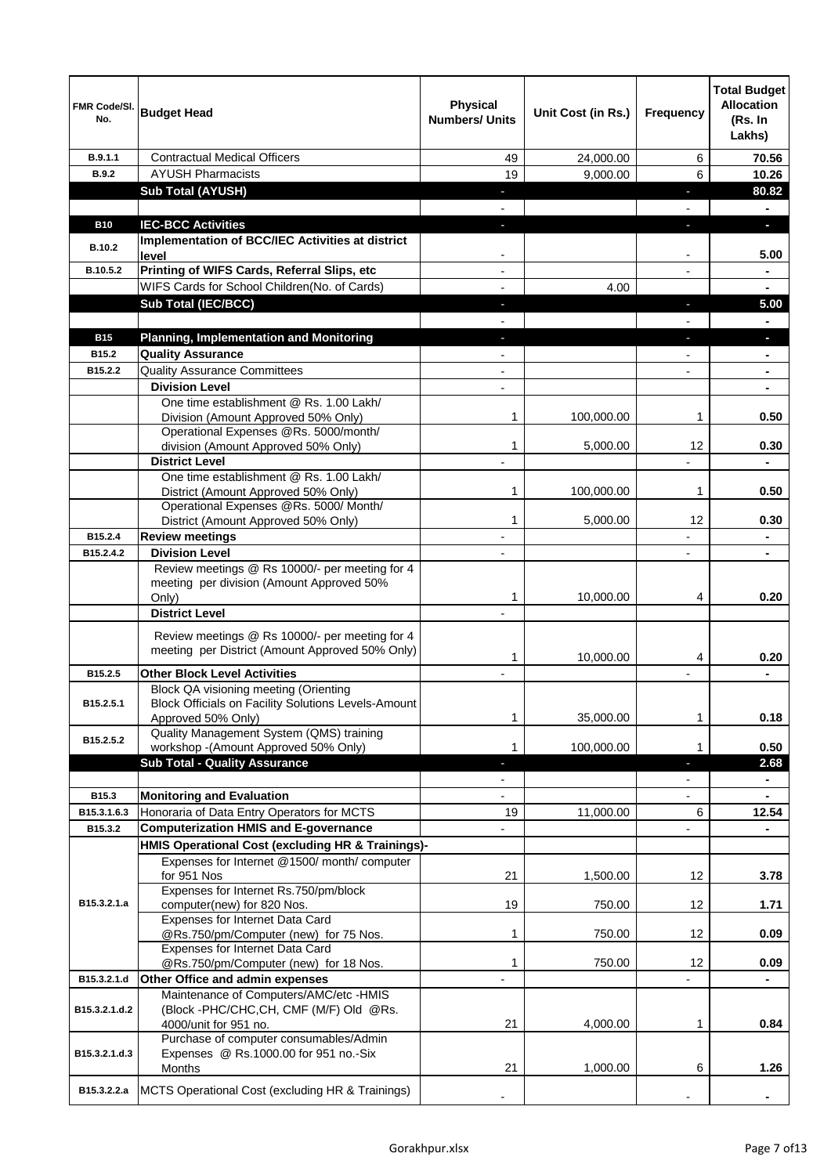| <b>FMR Code/SI.</b><br>No. | <b>Budget Head</b>                                                                                                 | <b>Physical</b><br><b>Numbers/ Units</b> | Unit Cost (in Rs.) | Frequency                | <b>Total Budget</b><br><b>Allocation</b><br>(Rs. In<br>Lakhs) |
|----------------------------|--------------------------------------------------------------------------------------------------------------------|------------------------------------------|--------------------|--------------------------|---------------------------------------------------------------|
| B.9.1.1                    | <b>Contractual Medical Officers</b>                                                                                | 49                                       | 24,000.00          | 6                        | 70.56                                                         |
| <b>B.9.2</b>               | <b>AYUSH Pharmacists</b>                                                                                           | 19                                       | 9,000.00           | 6                        | 10.26                                                         |
|                            | <b>Sub Total (AYUSH)</b>                                                                                           | $\sim$                                   |                    | a,                       | 80.82                                                         |
|                            |                                                                                                                    |                                          |                    |                          | $\blacksquare$                                                |
| <b>B10</b>                 | <b>IEC-BCC Activities</b>                                                                                          | H,                                       |                    | r.                       | $\overline{\phantom{a}}$                                      |
| <b>B.10.2</b>              | Implementation of BCC/IEC Activities at district<br>level                                                          | $\overline{\phantom{a}}$                 |                    | $\overline{\phantom{a}}$ | 5.00                                                          |
| B.10.5.2                   | Printing of WIFS Cards, Referral Slips, etc                                                                        | $\overline{\phantom{a}}$                 |                    | $\blacksquare$           | $\blacksquare$                                                |
|                            | WIFS Cards for School Children(No. of Cards)                                                                       | $\blacksquare$                           | 4.00               |                          | $\blacksquare$                                                |
|                            | <b>Sub Total (IEC/BCC)</b>                                                                                         | ٠                                        |                    | P.                       | 5.00                                                          |
|                            |                                                                                                                    | $\blacksquare$                           |                    |                          | $\blacksquare$                                                |
| <b>B15</b>                 | <b>Planning, Implementation and Monitoring</b>                                                                     | $\sim$                                   |                    | J,                       | $\blacksquare$                                                |
| B15.2                      | <b>Quality Assurance</b>                                                                                           | $\overline{\phantom{a}}$                 |                    | $\blacksquare$           | ٠                                                             |
| B15.2.2                    | <b>Quality Assurance Committees</b>                                                                                | $\blacksquare$                           |                    | $\overline{a}$           | $\blacksquare$                                                |
|                            | <b>Division Level</b>                                                                                              | $\overline{\phantom{a}}$                 |                    |                          | $\blacksquare$                                                |
|                            | One time establishment @ Rs. 1.00 Lakh/<br>Division (Amount Approved 50% Only)                                     | 1                                        | 100,000.00         | 1                        | 0.50                                                          |
|                            | Operational Expenses @Rs. 5000/month/                                                                              |                                          |                    |                          |                                                               |
|                            | division (Amount Approved 50% Only)                                                                                | 1                                        | 5,000.00           | 12                       | 0.30                                                          |
|                            | <b>District Level</b>                                                                                              | $\overline{a}$                           |                    |                          | $\blacksquare$                                                |
|                            | One time establishment @ Rs. 1.00 Lakh/                                                                            |                                          |                    |                          |                                                               |
|                            | District (Amount Approved 50% Only)<br>Operational Expenses @Rs. 5000/ Month/                                      | 1                                        | 100,000.00         | 1                        | 0.50                                                          |
|                            | District (Amount Approved 50% Only)                                                                                | 1                                        | 5,000.00           | 12                       | 0.30                                                          |
| B15.2.4                    | <b>Review meetings</b>                                                                                             |                                          |                    |                          |                                                               |
| B15.2.4.2                  | <b>Division Level</b>                                                                                              | $\overline{\phantom{a}}$                 |                    |                          |                                                               |
|                            | Review meetings @ Rs 10000/- per meeting for 4<br>meeting per division (Amount Approved 50%<br>Only)               | 1                                        | 10,000.00          | 4                        | 0.20                                                          |
|                            | <b>District Level</b>                                                                                              | $\overline{\phantom{a}}$                 |                    |                          |                                                               |
|                            | Review meetings @ Rs 10000/- per meeting for 4<br>meeting per District (Amount Approved 50% Only)                  | 1                                        | 10,000.00          | 4                        | 0.20                                                          |
| B <sub>15.2.5</sub>        | <b>Other Block Level Activities</b>                                                                                |                                          |                    |                          |                                                               |
| B15.2.5.1                  | Block QA visioning meeting (Orienting<br>Block Officials on Facility Solutions Levels-Amount<br>Approved 50% Only) | 1                                        | 35,000.00          | 1                        | 0.18                                                          |
| B15.2.5.2                  | Quality Management System (QMS) training                                                                           | 1                                        |                    | 1                        | 0.50                                                          |
|                            | workshop -(Amount Approved 50% Only)<br><b>Sub Total - Quality Assurance</b>                                       | ٠                                        | 100,000.00         | ٠                        | 2.68                                                          |
|                            |                                                                                                                    |                                          |                    |                          |                                                               |
| B15.3                      | <b>Monitoring and Evaluation</b>                                                                                   | $\overline{\phantom{0}}$                 |                    | $\overline{\phantom{a}}$ |                                                               |
| B15.3.1.6.3                | Honoraria of Data Entry Operators for MCTS                                                                         | 19                                       | 11,000.00          | 6                        | 12.54                                                         |
| B15.3.2                    | <b>Computerization HMIS and E-governance</b>                                                                       |                                          |                    |                          |                                                               |
|                            | HMIS Operational Cost (excluding HR & Trainings)-                                                                  |                                          |                    |                          |                                                               |
|                            | Expenses for Internet @1500/month/computer                                                                         |                                          |                    |                          |                                                               |
|                            | for 951 Nos                                                                                                        | 21                                       | 1,500.00           | 12                       | 3.78                                                          |
| B15.3.2.1.a                | Expenses for Internet Rs.750/pm/block<br>computer(new) for 820 Nos.<br>Expenses for Internet Data Card             | 19                                       | 750.00             | 12                       | 1.71                                                          |
|                            | @Rs.750/pm/Computer (new) for 75 Nos.                                                                              | 1                                        | 750.00             | 12                       | 0.09                                                          |
|                            | Expenses for Internet Data Card                                                                                    |                                          |                    |                          |                                                               |
|                            | @Rs.750/pm/Computer (new) for 18 Nos.                                                                              | 1                                        | 750.00             | 12                       | 0.09                                                          |
| B15.3.2.1.d                | Other Office and admin expenses<br>Maintenance of Computers/AMC/etc -HMIS                                          |                                          |                    |                          |                                                               |
| B15.3.2.1.d.2              | (Block -PHC/CHC, CH, CMF (M/F) Old @Rs.<br>4000/unit for 951 no.                                                   | 21                                       | 4,000.00           | 1                        | 0.84                                                          |
| B15.3.2.1.d.3              | Purchase of computer consumables/Admin<br>Expenses @ Rs.1000.00 for 951 no.-Six<br>Months                          | 21                                       | 1,000.00           | 6                        | 1.26                                                          |
|                            |                                                                                                                    |                                          |                    |                          |                                                               |
| B15.3.2.2.a                | MCTS Operational Cost (excluding HR & Trainings)                                                                   |                                          |                    |                          |                                                               |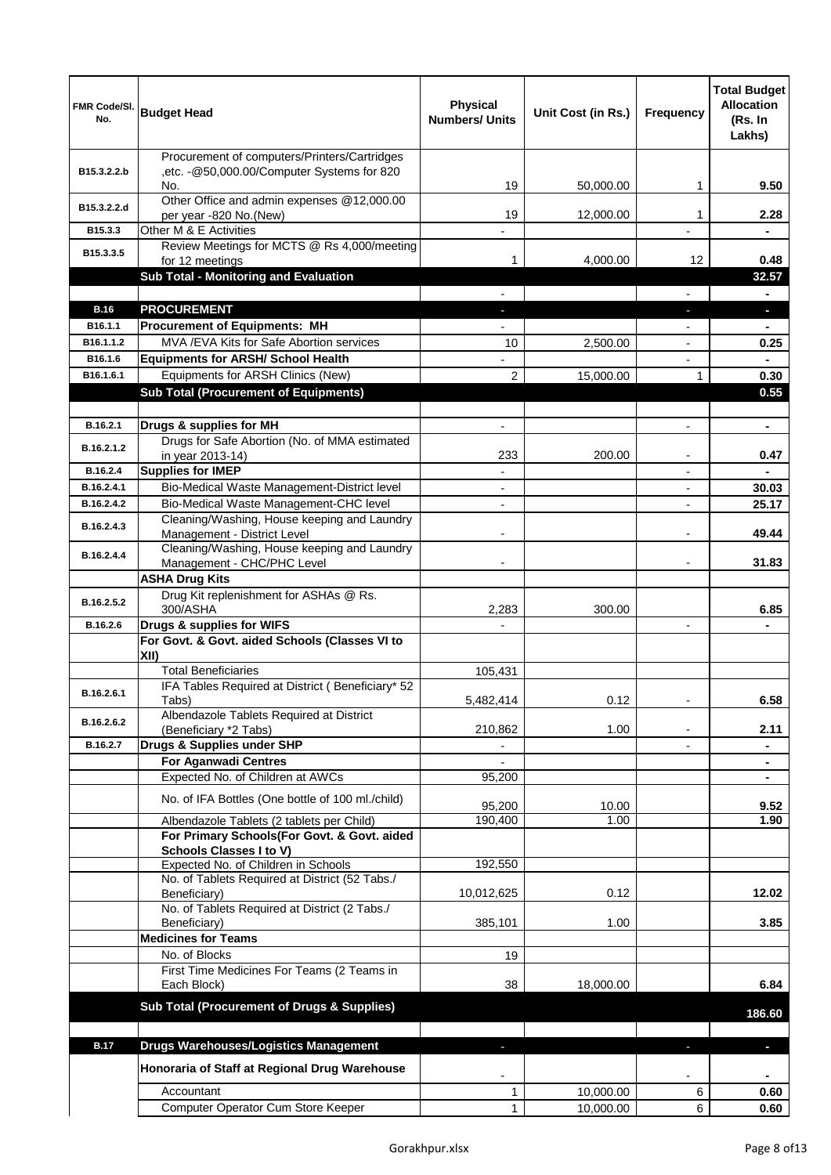| FMR Code/SI.<br>No.    | <b>Budget Head</b>                                                                       | <b>Physical</b><br><b>Numbers/ Units</b> | Unit Cost (in Rs.) | Frequency                | <b>Total Budget</b><br><b>Allocation</b><br>(Rs. In<br>Lakhs) |
|------------------------|------------------------------------------------------------------------------------------|------------------------------------------|--------------------|--------------------------|---------------------------------------------------------------|
|                        | Procurement of computers/Printers/Cartridges                                             |                                          |                    |                          |                                                               |
| B15.3.2.2.b            | ,etc. - @50,000.00/Computer Systems for 820<br>No.                                       | 19                                       | 50,000.00          | 1                        | 9.50                                                          |
| B15.3.2.2.d            | Other Office and admin expenses @12,000.00                                               |                                          |                    |                          |                                                               |
| B <sub>15.3.3</sub>    | per year -820 No.(New)<br>Other M & E Activities                                         | 19                                       | 12,000.00          | 1                        | 2.28                                                          |
|                        | Review Meetings for MCTS @ Rs 4,000/meeting                                              |                                          |                    |                          |                                                               |
| B15.3.3.5              | for 12 meetings                                                                          | 1                                        | 4,000.00           | 12                       | 0.48                                                          |
|                        | Sub Total - Monitoring and Evaluation                                                    |                                          |                    |                          | 32.57                                                         |
|                        |                                                                                          |                                          |                    |                          |                                                               |
| <b>B.16</b><br>B16.1.1 | <b>PROCUREMENT</b><br><b>Procurement of Equipments: MH</b>                               |                                          |                    |                          | L.                                                            |
| B16.1.1.2              | MVA / EVA Kits for Safe Abortion services                                                | 10                                       | 2,500.00           |                          | 0.25                                                          |
| B16.1.6                | <b>Equipments for ARSH/ School Health</b>                                                |                                          |                    | $\overline{a}$           |                                                               |
| B16.1.6.1              | Equipments for ARSH Clinics (New)                                                        | $\overline{2}$                           | 15,000.00          | 1                        | 0.30                                                          |
|                        | <b>Sub Total (Procurement of Equipments)</b>                                             |                                          |                    |                          | 0.55                                                          |
|                        |                                                                                          |                                          |                    |                          |                                                               |
| B.16.2.1               | Drugs & supplies for MH                                                                  |                                          |                    | $\overline{a}$           | ٠                                                             |
| B.16.2.1.2             | Drugs for Safe Abortion (No. of MMA estimated<br>in year 2013-14)                        | 233                                      | 200.00             | $\blacksquare$           | 0.47                                                          |
| B.16.2.4               | <b>Supplies for IMEP</b>                                                                 | $\overline{\phantom{a}}$                 |                    | $\blacksquare$           |                                                               |
| B.16.2.4.1             | Bio-Medical Waste Management-District level                                              | $\overline{\phantom{a}}$                 |                    | $\overline{\phantom{a}}$ | 30.03                                                         |
| B.16.2.4.2             | Bio-Medical Waste Management-CHC level                                                   |                                          |                    |                          | 25.17                                                         |
| B.16.2.4.3             | Cleaning/Washing, House keeping and Laundry<br>Management - District Level               |                                          |                    |                          | 49.44                                                         |
| B.16.2.4.4             | Cleaning/Washing, House keeping and Laundry                                              |                                          |                    |                          |                                                               |
|                        | Management - CHC/PHC Level                                                               |                                          |                    |                          | 31.83                                                         |
|                        | <b>ASHA Drug Kits</b><br>Drug Kit replenishment for ASHAs @ Rs.                          |                                          |                    |                          |                                                               |
| B.16.2.5.2             | 300/ASHA                                                                                 | 2,283                                    | 300.00             |                          | 6.85                                                          |
| B.16.2.6               | Drugs & supplies for WIFS                                                                |                                          |                    |                          |                                                               |
|                        | For Govt. & Govt. aided Schools (Classes VI to                                           |                                          |                    |                          |                                                               |
|                        | XII)<br><b>Total Beneficiaries</b>                                                       | 105,431                                  |                    |                          |                                                               |
|                        | IFA Tables Required at District (Beneficiary* 52                                         |                                          |                    |                          |                                                               |
| B.16.2.6.1             | Tabs)                                                                                    | 5,482,414                                | 0.12               |                          | 6.58                                                          |
| B.16.2.6.2             | Albendazole Tablets Required at District                                                 |                                          |                    |                          |                                                               |
| B.16.2.7               | (Beneficiary *2 Tabs)<br>Drugs & Supplies under SHP                                      | 210,862                                  | 1.00               |                          | 2.11                                                          |
|                        | <b>For Aganwadi Centres</b>                                                              |                                          |                    |                          | ۰                                                             |
|                        | Expected No. of Children at AWCs                                                         | 95.200                                   |                    |                          |                                                               |
|                        | No. of IFA Bottles (One bottle of 100 ml./child)                                         |                                          |                    |                          |                                                               |
|                        |                                                                                          | 95,200                                   | 10.00<br>1.00      |                          | 9.52<br>1.90                                                  |
|                        | Albendazole Tablets (2 tablets per Child)<br>For Primary Schools(For Govt. & Govt. aided | 190,400                                  |                    |                          |                                                               |
|                        | <b>Schools Classes I to V)</b>                                                           |                                          |                    |                          |                                                               |
|                        | Expected No. of Children in Schools                                                      | 192,550                                  |                    |                          |                                                               |
|                        | No. of Tablets Required at District (52 Tabs./<br>Beneficiary)                           | 10,012,625                               | 0.12               |                          | 12.02                                                         |
|                        | No. of Tablets Required at District (2 Tabs./<br>Beneficiary)                            | 385,101                                  | 1.00               |                          | 3.85                                                          |
|                        | <b>Medicines for Teams</b>                                                               |                                          |                    |                          |                                                               |
|                        | No. of Blocks                                                                            | 19                                       |                    |                          |                                                               |
|                        | First Time Medicines For Teams (2 Teams in<br>Each Block)                                | 38                                       | 18,000.00          |                          | 6.84                                                          |
|                        | Sub Total (Procurement of Drugs & Supplies)                                              |                                          |                    |                          | 186.60                                                        |
|                        |                                                                                          |                                          |                    |                          |                                                               |
| <b>B.17</b>            | Drugs Warehouses/Logistics Management                                                    |                                          |                    |                          |                                                               |
|                        | Honoraria of Staff at Regional Drug Warehouse                                            |                                          |                    |                          | ٠                                                             |
|                        | Accountant                                                                               | 1                                        | 10,000.00          | 6                        | 0.60                                                          |
|                        | Computer Operator Cum Store Keeper                                                       | 1                                        | 10,000.00          | 6                        | 0.60                                                          |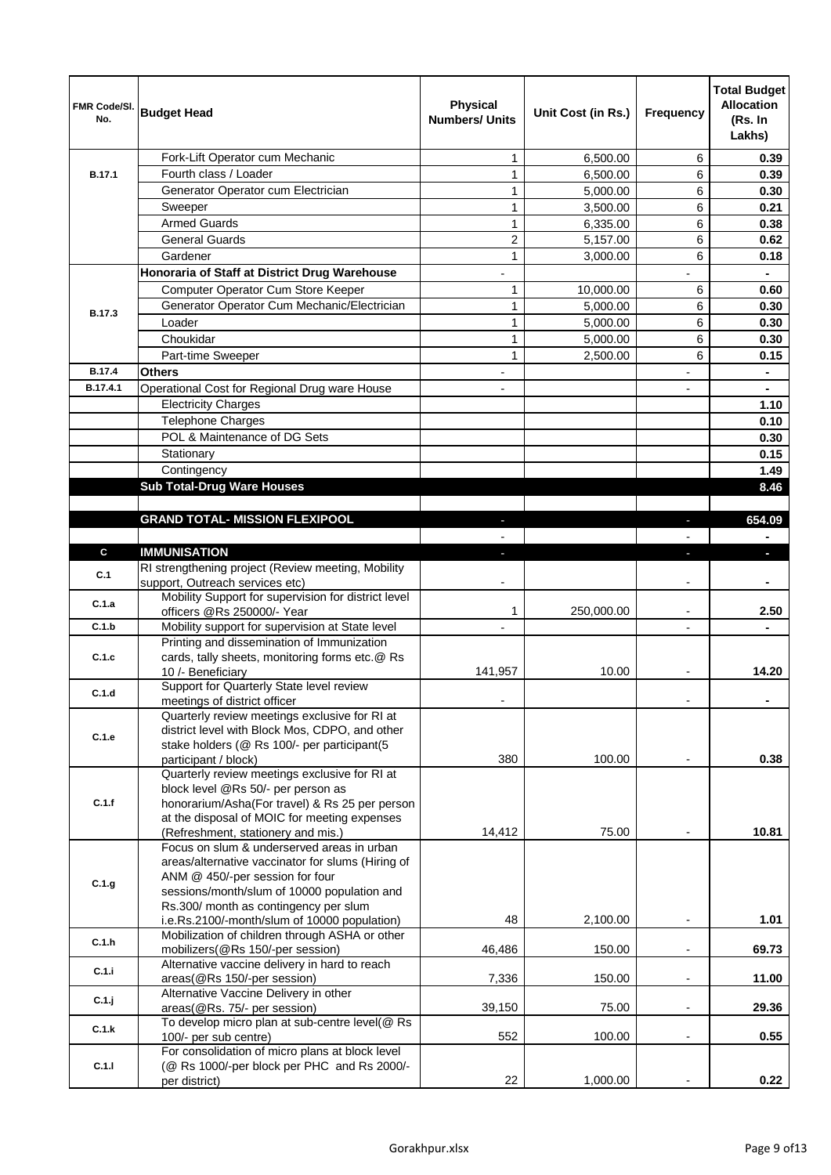| FMR Code/SI.<br>No. | <b>Budget Head</b>                                                                     | <b>Physical</b><br><b>Numbers/ Units</b> | Unit Cost (in Rs.) | Frequency                | <b>Total Budget</b><br><b>Allocation</b><br>(Rs. In<br>Lakhs) |
|---------------------|----------------------------------------------------------------------------------------|------------------------------------------|--------------------|--------------------------|---------------------------------------------------------------|
|                     | Fork-Lift Operator cum Mechanic                                                        | $\mathbf{1}$                             | 6,500.00           | 6                        | 0.39                                                          |
| <b>B.17.1</b>       | Fourth class / Loader                                                                  | $\mathbf{1}$                             | 6,500.00           | 6                        | 0.39                                                          |
|                     | Generator Operator cum Electrician                                                     | $\mathbf{1}$                             | 5,000.00           | 6                        | 0.30                                                          |
|                     | Sweeper                                                                                | $\mathbf{1}$                             | 3,500.00           | 6                        | 0.21                                                          |
|                     | <b>Armed Guards</b>                                                                    | $\mathbf{1}$                             | 6,335.00           | 6                        | 0.38                                                          |
|                     | <b>General Guards</b>                                                                  | $\overline{2}$                           | 5,157.00           | 6                        | 0.62                                                          |
|                     | Gardener                                                                               | $\mathbf{1}$                             | 3,000.00           | 6                        | 0.18                                                          |
|                     | Honoraria of Staff at District Drug Warehouse                                          |                                          |                    |                          |                                                               |
|                     | Computer Operator Cum Store Keeper                                                     | $\mathbf{1}$                             | 10,000.00          | 6                        | 0.60                                                          |
| B.17.3              | Generator Operator Cum Mechanic/Electrician                                            | $\mathbf{1}$                             | 5,000.00           | 6                        | 0.30                                                          |
|                     | Loader                                                                                 | $\mathbf{1}$                             | 5,000.00           | 6                        | 0.30                                                          |
|                     | Choukidar                                                                              | $\mathbf{1}$                             | 5,000.00           | 6                        | 0.30                                                          |
|                     | Part-time Sweeper                                                                      | $\mathbf{1}$                             | 2,500.00           | 6                        | 0.15                                                          |
| <b>B.17.4</b>       | Others                                                                                 | ٠                                        |                    | $\overline{\phantom{a}}$ | $\blacksquare$                                                |
| B.17.4.1            | Operational Cost for Regional Drug ware House                                          | $\overline{a}$                           |                    | $\blacksquare$           | $\blacksquare$                                                |
|                     | <b>Electricity Charges</b>                                                             |                                          |                    |                          | 1.10                                                          |
|                     | <b>Telephone Charges</b>                                                               |                                          |                    |                          | 0.10                                                          |
|                     | POL & Maintenance of DG Sets                                                           |                                          |                    |                          | 0.30                                                          |
|                     | Stationary                                                                             |                                          |                    |                          | 0.15                                                          |
|                     | Contingency                                                                            |                                          |                    |                          | 1.49                                                          |
|                     | <b>Sub Total-Drug Ware Houses</b>                                                      |                                          |                    |                          | 8.46                                                          |
|                     |                                                                                        |                                          |                    |                          |                                                               |
|                     | <b>GRAND TOTAL- MISSION FLEXIPOOL</b>                                                  |                                          |                    |                          | 654.09                                                        |
|                     |                                                                                        |                                          |                    |                          |                                                               |
| C                   | <b>IMMUNISATION</b>                                                                    |                                          |                    |                          |                                                               |
| C.1                 | RI strengthening project (Review meeting, Mobility                                     |                                          |                    |                          |                                                               |
|                     | support, Outreach services etc)<br>Mobility Support for supervision for district level |                                          |                    |                          |                                                               |
| C.1.a               | officers @Rs 250000/- Year                                                             | 1                                        | 250,000.00         | $\overline{\phantom{a}}$ | 2.50                                                          |
| C.1.b               | Mobility support for supervision at State level                                        | $\overline{a}$                           |                    | $\overline{\phantom{a}}$ |                                                               |
|                     | Printing and dissemination of Immunization                                             |                                          |                    |                          |                                                               |
| C.1.c               | cards, tally sheets, monitoring forms etc.@ Rs                                         |                                          |                    |                          |                                                               |
|                     | 10 /- Beneficiary                                                                      | 141,957                                  | 10.00              |                          | 14.20                                                         |
| C.1.d               | Support for Quarterly State level review                                               |                                          |                    |                          |                                                               |
|                     | meetings of district officer<br>Quarterly review meetings exclusive for RI at          |                                          |                    |                          |                                                               |
|                     | district level with Block Mos, CDPO, and other                                         |                                          |                    |                          |                                                               |
| C.1.e               | stake holders (@ Rs 100/- per participant(5                                            |                                          |                    |                          |                                                               |
|                     | participant / block)                                                                   | 380                                      | 100.00             |                          | 0.38                                                          |
|                     | Quarterly review meetings exclusive for RI at                                          |                                          |                    |                          |                                                               |
|                     | block level @Rs 50/- per person as                                                     |                                          |                    |                          |                                                               |
| C.1.f               | honorarium/Asha(For travel) & Rs 25 per person                                         |                                          |                    |                          |                                                               |
|                     | at the disposal of MOIC for meeting expenses<br>(Refreshment, stationery and mis.)     | 14,412                                   | 75.00              |                          | 10.81                                                         |
|                     | Focus on slum & underserved areas in urban                                             |                                          |                    |                          |                                                               |
|                     | areas/alternative vaccinator for slums (Hiring of                                      |                                          |                    |                          |                                                               |
| C.1.g               | ANM @ 450/-per session for four                                                        |                                          |                    |                          |                                                               |
|                     | sessions/month/slum of 10000 population and                                            |                                          |                    |                          |                                                               |
|                     | Rs.300/ month as contingency per slum                                                  |                                          |                    |                          |                                                               |
|                     | i.e.Rs.2100/-month/slum of 10000 population)                                           | 48                                       | 2,100.00           |                          | 1.01                                                          |
| C.1.h               | Mobilization of children through ASHA or other<br>mobilizers(@Rs 150/-per session)     | 46,486                                   | 150.00             | $\overline{\phantom{a}}$ | 69.73                                                         |
|                     | Alternative vaccine delivery in hard to reach                                          |                                          |                    |                          |                                                               |
| C.1.i               | areas(@Rs 150/-per session)                                                            | 7,336                                    | 150.00             | $\overline{\phantom{a}}$ | 11.00                                                         |
| C.1.j               | Alternative Vaccine Delivery in other                                                  |                                          |                    |                          |                                                               |
|                     | areas(@Rs. 75/- per session)                                                           | 39,150                                   | 75.00              | $\overline{\phantom{a}}$ | 29.36                                                         |
| C.1.k               | To develop micro plan at sub-centre level(@ Rs                                         |                                          |                    |                          |                                                               |
|                     | 100/- per sub centre)<br>For consolidation of micro plans at block level               | 552                                      | 100.00             | $\overline{\phantom{a}}$ | 0.55                                                          |
| C.1.1               | (@ Rs 1000/-per block per PHC and Rs 2000/-                                            |                                          |                    |                          |                                                               |
|                     | per district)                                                                          | 22                                       | 1,000.00           |                          | 0.22                                                          |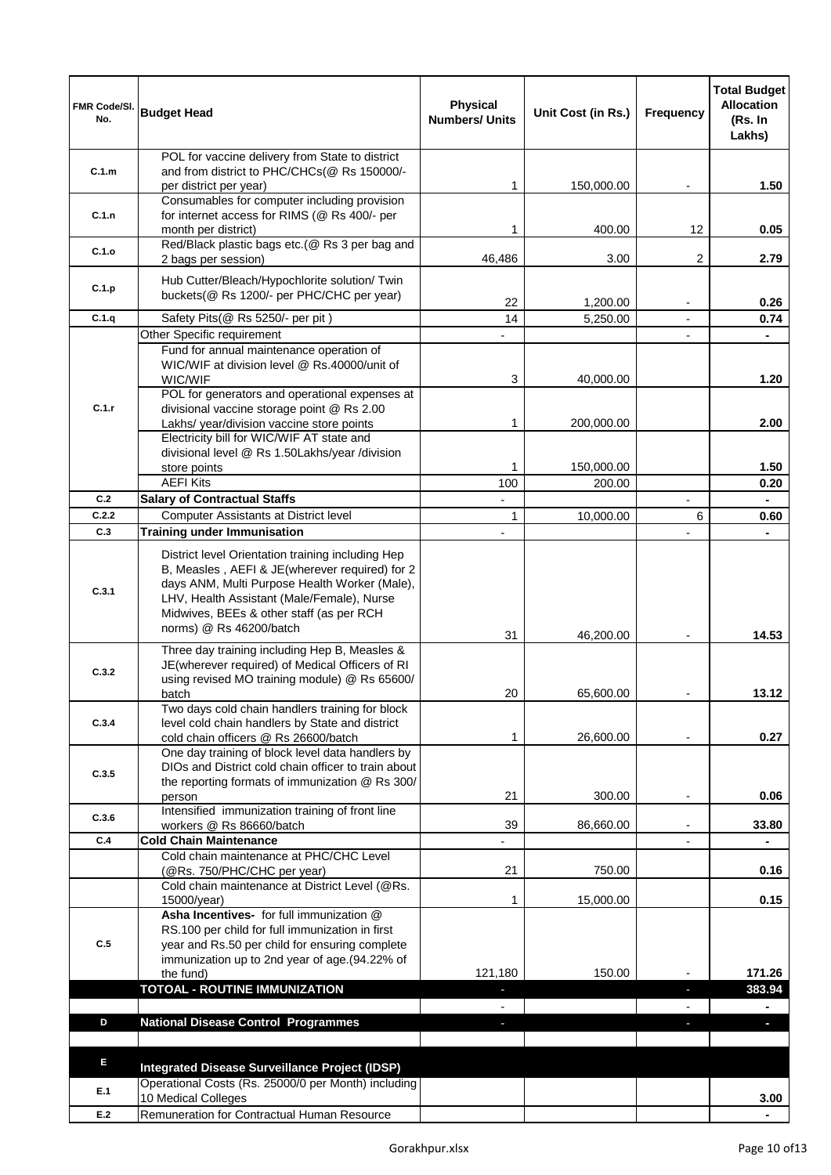| FMR Code/SI.<br>No. | <b>Budget Head</b>                                                                                                                                                                                                                                                        | <b>Physical</b><br><b>Numbers/ Units</b> | Unit Cost (in Rs.)   | <b>Frequency</b>         | <b>Total Budget</b><br><b>Allocation</b><br>(Rs. In<br>Lakhs) |
|---------------------|---------------------------------------------------------------------------------------------------------------------------------------------------------------------------------------------------------------------------------------------------------------------------|------------------------------------------|----------------------|--------------------------|---------------------------------------------------------------|
|                     | POL for vaccine delivery from State to district                                                                                                                                                                                                                           |                                          |                      |                          |                                                               |
| C.1.m               | and from district to PHC/CHCs(@ Rs 150000/-<br>per district per year)                                                                                                                                                                                                     | 1                                        |                      |                          | 1.50                                                          |
|                     | Consumables for computer including provision                                                                                                                                                                                                                              |                                          | 150,000.00           |                          |                                                               |
| C.1.n               | for internet access for RIMS (@ Rs 400/- per                                                                                                                                                                                                                              |                                          |                      |                          |                                                               |
|                     | month per district)                                                                                                                                                                                                                                                       | 1                                        | 400.00               | 12                       | 0.05                                                          |
| C.1.o               | Red/Black plastic bags etc.(@ Rs 3 per bag and                                                                                                                                                                                                                            | 46,486                                   | 3.00                 | 2                        | 2.79                                                          |
|                     | 2 bags per session)                                                                                                                                                                                                                                                       |                                          |                      |                          |                                                               |
| C.1.p               | Hub Cutter/Bleach/Hypochlorite solution/ Twin<br>buckets(@ Rs 1200/- per PHC/CHC per year)                                                                                                                                                                                |                                          |                      |                          |                                                               |
|                     |                                                                                                                                                                                                                                                                           | 22                                       | 1,200.00             |                          | 0.26                                                          |
| C.1.q               | Safety Pits (@ Rs 5250/- per pit)                                                                                                                                                                                                                                         | 14                                       | 5,250.00             |                          | 0.74                                                          |
|                     | Other Specific requirement<br>Fund for annual maintenance operation of                                                                                                                                                                                                    |                                          |                      |                          |                                                               |
|                     | WIC/WIF at division level @ Rs.40000/unit of<br>WIC/WIF                                                                                                                                                                                                                   | 3                                        | 40,000.00            |                          | 1.20                                                          |
| C.1.r               | POL for generators and operational expenses at<br>divisional vaccine storage point @ Rs 2.00<br>Lakhs/ year/division vaccine store points                                                                                                                                 | 1                                        | 200,000.00           |                          | 2.00                                                          |
|                     | Electricity bill for WIC/WIF AT state and                                                                                                                                                                                                                                 |                                          |                      |                          |                                                               |
|                     | divisional level @ Rs 1.50Lakhs/year /division                                                                                                                                                                                                                            |                                          |                      |                          |                                                               |
|                     | store points<br><b>AEFI Kits</b>                                                                                                                                                                                                                                          | 1<br>100                                 | 150,000.00<br>200.00 |                          | 1.50<br>0.20                                                  |
| C.2                 | <b>Salary of Contractual Staffs</b>                                                                                                                                                                                                                                       | $\overline{\phantom{0}}$                 |                      |                          | $\blacksquare$                                                |
| C.2.2               | Computer Assistants at District level                                                                                                                                                                                                                                     | $\mathbf{1}$                             | 10,000.00            | 6                        | 0.60                                                          |
| C.3                 | <b>Training under Immunisation</b>                                                                                                                                                                                                                                        | $\overline{\phantom{0}}$                 |                      |                          |                                                               |
| C.3.1               | District level Orientation training including Hep<br>B, Measles, AEFI & JE(wherever required) for 2<br>days ANM, Multi Purpose Health Worker (Male),<br>LHV, Health Assistant (Male/Female), Nurse<br>Midwives, BEEs & other staff (as per RCH<br>norms) @ Rs 46200/batch |                                          |                      |                          |                                                               |
|                     | Three day training including Hep B, Measles &                                                                                                                                                                                                                             | 31                                       | 46,200.00            |                          | 14.53                                                         |
| C.3.2               | JE(wherever required) of Medical Officers of RI<br>using revised MO training module) @ Rs 65600/                                                                                                                                                                          |                                          |                      |                          |                                                               |
|                     | batch                                                                                                                                                                                                                                                                     | 20                                       | 65,600.00            |                          | 13.12                                                         |
| C.3.4               | Two days cold chain handlers training for block<br>level cold chain handlers by State and district                                                                                                                                                                        |                                          |                      |                          |                                                               |
|                     | cold chain officers @ Rs 26600/batch                                                                                                                                                                                                                                      | 1                                        | 26,600.00            |                          | 0.27                                                          |
| C.3.5               | One day training of block level data handlers by<br>DIOs and District cold chain officer to train about<br>the reporting formats of immunization @ Rs 300/                                                                                                                |                                          |                      |                          |                                                               |
|                     | person                                                                                                                                                                                                                                                                    | 21                                       | 300.00               |                          | 0.06                                                          |
| C.3.6               | Intensified immunization training of front line<br>workers @ Rs 86660/batch                                                                                                                                                                                               | 39                                       | 86,660.00            | $\overline{\phantom{a}}$ | 33.80                                                         |
| C.4                 | <b>Cold Chain Maintenance</b>                                                                                                                                                                                                                                             |                                          |                      | $\overline{a}$           |                                                               |
|                     | Cold chain maintenance at PHC/CHC Level                                                                                                                                                                                                                                   |                                          |                      |                          |                                                               |
|                     | (@Rs. 750/PHC/CHC per year)<br>Cold chain maintenance at District Level (@Rs.                                                                                                                                                                                             | 21                                       | 750.00               |                          | 0.16                                                          |
|                     | 15000/year)                                                                                                                                                                                                                                                               | 1                                        | 15,000.00            |                          | 0.15                                                          |
| C.5                 | Asha Incentives- for full immunization @<br>RS.100 per child for full immunization in first<br>year and Rs.50 per child for ensuring complete<br>immunization up to 2nd year of age.(94.22% of<br>the fund)<br><b>TOTOAL - ROUTINE IMMUNIZATION</b>                       | 121,180                                  | 150.00               | ÷                        | 171.26<br>383.94                                              |
|                     |                                                                                                                                                                                                                                                                           |                                          |                      |                          |                                                               |
| D                   | <b>National Disease Control Programmes</b>                                                                                                                                                                                                                                | J                                        |                      |                          | $\blacksquare$                                                |
|                     |                                                                                                                                                                                                                                                                           |                                          |                      |                          |                                                               |
| E                   | Integrated Disease Surveillance Project (IDSP)<br>Operational Costs (Rs. 25000/0 per Month) including                                                                                                                                                                     |                                          |                      |                          |                                                               |
| E.1                 | 10 Medical Colleges                                                                                                                                                                                                                                                       |                                          |                      |                          | 3.00                                                          |
| E.2                 | Remuneration for Contractual Human Resource                                                                                                                                                                                                                               |                                          |                      |                          |                                                               |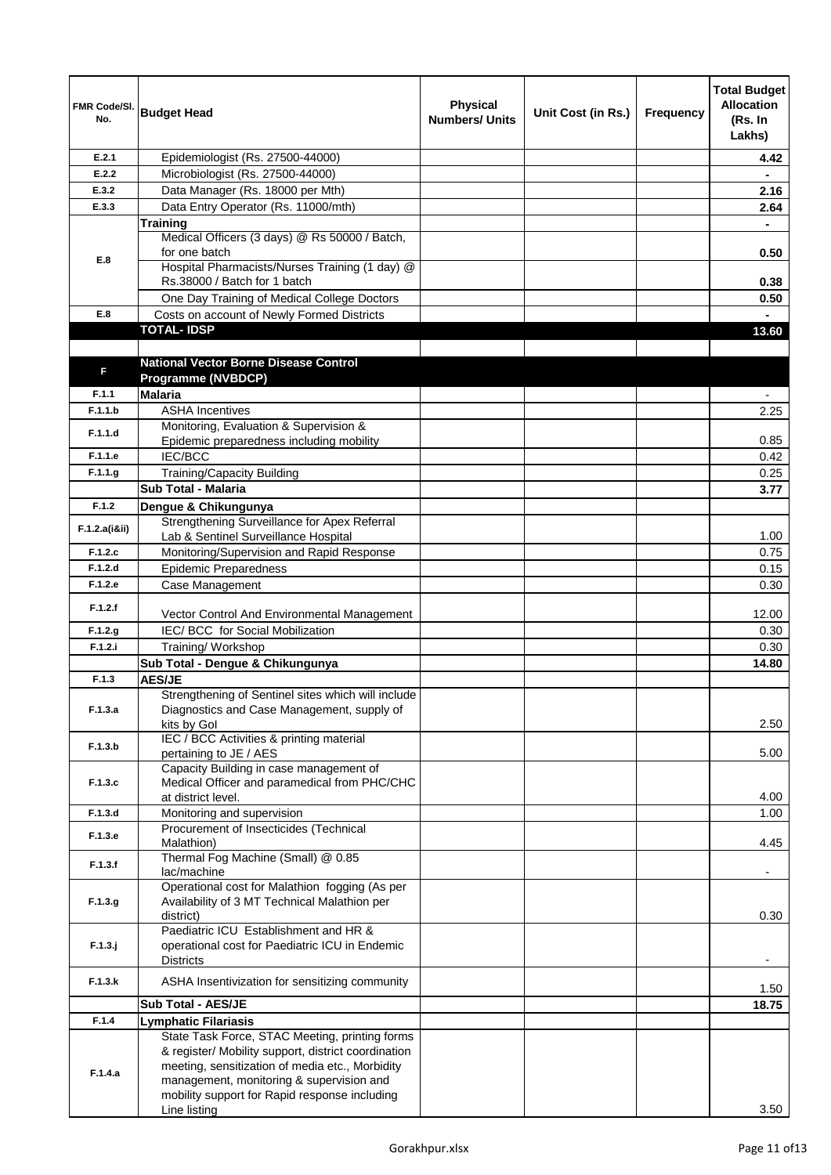| FMR Code/SI.<br>No. | <b>Budget Head</b>                                                                                                                                                                                                                                    | <b>Physical</b><br><b>Numbers/ Units</b> | Unit Cost (in Rs.) | Frequency | <b>Total Budget</b><br><b>Allocation</b><br>(Rs. In<br>Lakhs) |
|---------------------|-------------------------------------------------------------------------------------------------------------------------------------------------------------------------------------------------------------------------------------------------------|------------------------------------------|--------------------|-----------|---------------------------------------------------------------|
| E.2.1               | Epidemiologist (Rs. 27500-44000)                                                                                                                                                                                                                      |                                          |                    |           | 4.42                                                          |
| E.2.2               | Microbiologist (Rs. 27500-44000)                                                                                                                                                                                                                      |                                          |                    |           |                                                               |
| E.3.2               | Data Manager (Rs. 18000 per Mth)                                                                                                                                                                                                                      |                                          |                    |           | 2.16                                                          |
| E.3.3               | Data Entry Operator (Rs. 11000/mth)                                                                                                                                                                                                                   |                                          |                    |           | 2.64                                                          |
|                     | <b>Training</b>                                                                                                                                                                                                                                       |                                          |                    |           |                                                               |
|                     | Medical Officers (3 days) @ Rs 50000 / Batch,<br>for one batch                                                                                                                                                                                        |                                          |                    |           | 0.50                                                          |
| E.8                 | Hospital Pharmacists/Nurses Training (1 day) @<br>Rs.38000 / Batch for 1 batch                                                                                                                                                                        |                                          |                    |           | 0.38                                                          |
|                     | One Day Training of Medical College Doctors                                                                                                                                                                                                           |                                          |                    |           | 0.50                                                          |
| E.8                 | Costs on account of Newly Formed Districts                                                                                                                                                                                                            |                                          |                    |           |                                                               |
|                     | <b>TOTAL-IDSP</b>                                                                                                                                                                                                                                     |                                          |                    |           | 13.60                                                         |
| F                   | <b>National Vector Borne Disease Control</b><br>Programme (NVBDCP)                                                                                                                                                                                    |                                          |                    |           |                                                               |
| F.1.1               | <b>Malaria</b>                                                                                                                                                                                                                                        |                                          |                    |           |                                                               |
| F.1.1.b             | <b>ASHA Incentives</b>                                                                                                                                                                                                                                |                                          |                    |           | 2.25                                                          |
| F.1.1.d             | Monitoring, Evaluation & Supervision &<br>Epidemic preparedness including mobility                                                                                                                                                                    |                                          |                    |           | 0.85                                                          |
| F.1.1.e             | IEC/BCC                                                                                                                                                                                                                                               |                                          |                    |           | 0.42                                                          |
| F.1.1.g             | <b>Training/Capacity Building</b>                                                                                                                                                                                                                     |                                          |                    |           | 0.25                                                          |
|                     | Sub Total - Malaria                                                                                                                                                                                                                                   |                                          |                    |           | 3.77                                                          |
| F.1.2               | Dengue & Chikungunya                                                                                                                                                                                                                                  |                                          |                    |           |                                                               |
|                     | Strengthening Surveillance for Apex Referral                                                                                                                                                                                                          |                                          |                    |           |                                                               |
| F.1.2.a(iⅈ)         | Lab & Sentinel Surveillance Hospital                                                                                                                                                                                                                  |                                          |                    |           | 1.00                                                          |
| F.1.2.c             | Monitoring/Supervision and Rapid Response                                                                                                                                                                                                             |                                          |                    |           | 0.75                                                          |
| F.1.2.d             | <b>Epidemic Preparedness</b>                                                                                                                                                                                                                          |                                          |                    |           | 0.15                                                          |
| F.1.2.e             | Case Management                                                                                                                                                                                                                                       |                                          |                    |           | 0.30                                                          |
| F.1.2.f             | Vector Control And Environmental Management                                                                                                                                                                                                           |                                          |                    |           | 12.00                                                         |
| F.1.2.g             | IEC/ BCC for Social Mobilization                                                                                                                                                                                                                      |                                          |                    |           | 0.30                                                          |
| F.1.2.i             | Training/ Workshop                                                                                                                                                                                                                                    |                                          |                    |           | 0.30                                                          |
|                     | Sub Total - Dengue & Chikungunya                                                                                                                                                                                                                      |                                          |                    |           | 14.80                                                         |
| F.1.3               | <b>AES/JE</b>                                                                                                                                                                                                                                         |                                          |                    |           |                                                               |
| F.1.3.a             | Strengthening of Sentinel sites which will include<br>Diagnostics and Case Management, supply of<br>kits by Gol                                                                                                                                       |                                          |                    |           | 2.50                                                          |
| F.1.3.b             | IEC / BCC Activities & printing material<br>pertaining to JE / AES                                                                                                                                                                                    |                                          |                    |           | 5.00                                                          |
| F.1.3.c             | Capacity Building in case management of<br>Medical Officer and paramedical from PHC/CHC<br>at district level.                                                                                                                                         |                                          |                    |           | 4.00                                                          |
| F.1.3.d             | Monitoring and supervision                                                                                                                                                                                                                            |                                          |                    |           | 1.00                                                          |
| F.1.3.e             | Procurement of Insecticides (Technical<br>Malathion)                                                                                                                                                                                                  |                                          |                    |           | 4.45                                                          |
| F.1.3.f             | Thermal Fog Machine (Small) @ 0.85                                                                                                                                                                                                                    |                                          |                    |           |                                                               |
|                     | lac/machine<br>Operational cost for Malathion fogging (As per                                                                                                                                                                                         |                                          |                    |           | $\overline{\phantom{a}}$                                      |
| F.1.3.g             | Availability of 3 MT Technical Malathion per<br>district)<br>Paediatric ICU Establishment and HR &                                                                                                                                                    |                                          |                    |           | 0.30                                                          |
| $F.1.3.$ j          | operational cost for Paediatric ICU in Endemic<br><b>Districts</b>                                                                                                                                                                                    |                                          |                    |           |                                                               |
| F.1.3.k             | ASHA Insentivization for sensitizing community                                                                                                                                                                                                        |                                          |                    |           | 1.50                                                          |
|                     | <b>Sub Total - AES/JE</b>                                                                                                                                                                                                                             |                                          |                    |           | 18.75                                                         |
| F.1.4               | <b>Lymphatic Filariasis</b>                                                                                                                                                                                                                           |                                          |                    |           |                                                               |
| F.1.4.a             | State Task Force, STAC Meeting, printing forms<br>& register/ Mobility support, district coordination<br>meeting, sensitization of media etc., Morbidity<br>management, monitoring & supervision and<br>mobility support for Rapid response including |                                          |                    |           | 3.50                                                          |
|                     | Line listing                                                                                                                                                                                                                                          |                                          |                    |           |                                                               |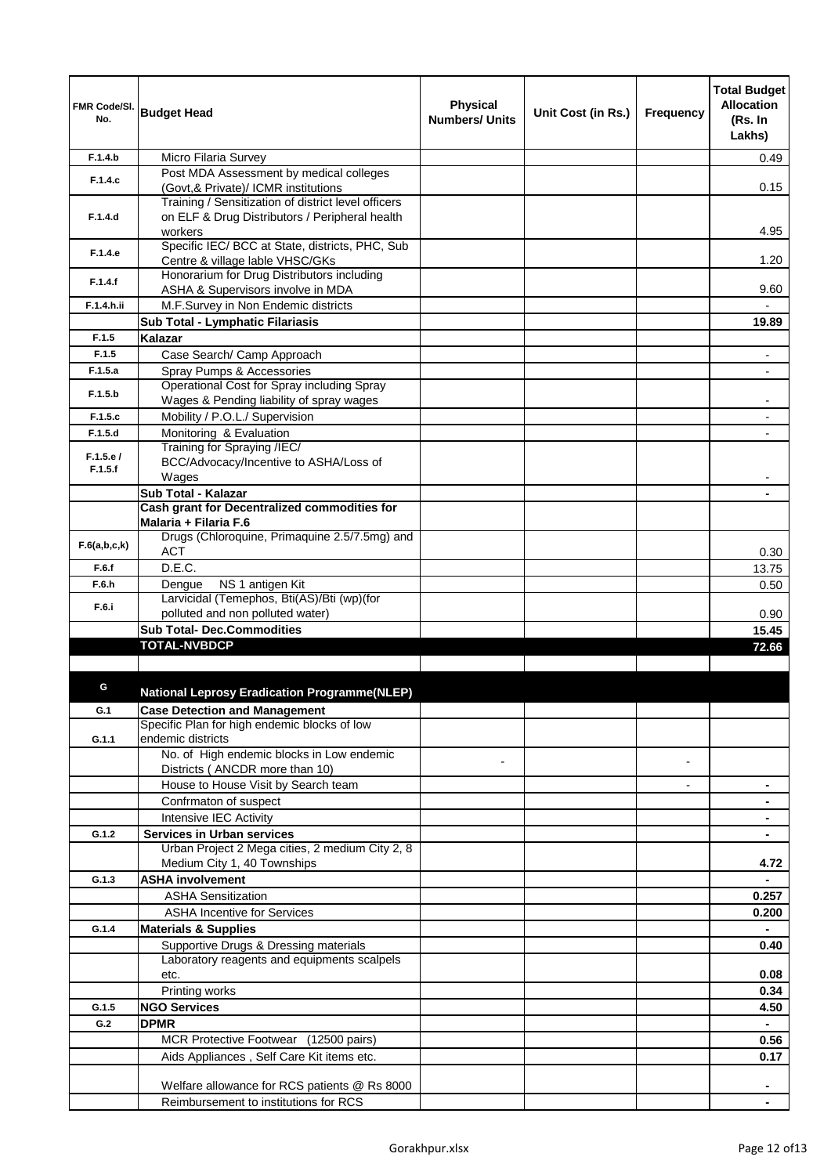| FMR Code/SI.<br>No. | <b>Budget Head</b>                                                                                               | <b>Physical</b><br><b>Numbers/ Units</b> | Unit Cost (in Rs.) | Frequency | <b>Total Budget</b><br><b>Allocation</b><br>(Rs. In<br>Lakhs) |
|---------------------|------------------------------------------------------------------------------------------------------------------|------------------------------------------|--------------------|-----------|---------------------------------------------------------------|
| F.1.4.b             | Micro Filaria Survey                                                                                             |                                          |                    |           | 0.49                                                          |
| F.1.4.c             | Post MDA Assessment by medical colleges<br>(Govt, & Private)/ ICMR institutions                                  |                                          |                    |           | 0.15                                                          |
| F.1.4.d             | Training / Sensitization of district level officers<br>on ELF & Drug Distributors / Peripheral health<br>workers |                                          |                    |           | 4.95                                                          |
| F.1.4.e             | Specific IEC/ BCC at State, districts, PHC, Sub<br>Centre & village lable VHSC/GKs                               |                                          |                    |           | 1.20                                                          |
| F.1.4.f             | Honorarium for Drug Distributors including<br>ASHA & Supervisors involve in MDA                                  |                                          |                    |           | 9.60                                                          |
| F.1.4.h.ii          | M.F.Survey in Non Endemic districts                                                                              |                                          |                    |           |                                                               |
|                     | Sub Total - Lymphatic Filariasis                                                                                 |                                          |                    |           | 19.89                                                         |
| F.1.5               | Kalazar                                                                                                          |                                          |                    |           |                                                               |
| F.1.5               | Case Search/ Camp Approach                                                                                       |                                          |                    |           | $\blacksquare$                                                |
| F.1.5.a             | Spray Pumps & Accessories                                                                                        |                                          |                    |           | $\overline{\phantom{a}}$                                      |
| F.1.5.b             | Operational Cost for Spray including Spray<br>Wages & Pending liability of spray wages                           |                                          |                    |           |                                                               |
| F.1.5.c             | Mobility / P.O.L./ Supervision                                                                                   |                                          |                    |           |                                                               |
| F.1.5.d             | Monitoring & Evaluation                                                                                          |                                          |                    |           |                                                               |
| F.1.5.e/<br>F.1.5.f | Training for Spraying /IEC/<br>BCC/Advocacy/Incentive to ASHA/Loss of<br>Wages                                   |                                          |                    |           |                                                               |
|                     | Sub Total - Kalazar                                                                                              |                                          |                    |           |                                                               |
|                     | Cash grant for Decentralized commodities for                                                                     |                                          |                    |           |                                                               |
|                     | Malaria + Filaria F.6                                                                                            |                                          |                    |           |                                                               |
| F.6(a,b,c,k)        | Drugs (Chloroquine, Primaquine 2.5/7.5mg) and<br>ACT                                                             |                                          |                    |           | 0.30                                                          |
| F.6.f               | D.E.C.                                                                                                           |                                          |                    |           | 13.75                                                         |
| F.6.h               | NS 1 antigen Kit<br>Dengue                                                                                       |                                          |                    |           | 0.50                                                          |
| F.6.i               | Larvicidal (Temephos, Bti(AS)/Bti (wp)(for<br>polluted and non polluted water)                                   |                                          |                    |           |                                                               |
|                     | <b>Sub Total- Dec.Commodities</b>                                                                                |                                          |                    |           | 0.90<br>15.45                                                 |
|                     | <b>TOTAL-NVBDCP</b>                                                                                              |                                          |                    |           | 72.66                                                         |
|                     |                                                                                                                  |                                          |                    |           |                                                               |
| G                   | <b>National Leprosy Eradication Programme(NLEP)</b>                                                              |                                          |                    |           |                                                               |
| G.1                 | <b>Case Detection and Management</b>                                                                             |                                          |                    |           |                                                               |
| G.1.1               | Specific Plan for high endemic blocks of low<br>endemic districts                                                |                                          |                    |           |                                                               |
|                     | No. of High endemic blocks in Low endemic                                                                        |                                          |                    |           |                                                               |
|                     | Districts (ANCDR more than 10)                                                                                   |                                          |                    |           |                                                               |
|                     | House to House Visit by Search team                                                                              |                                          |                    |           |                                                               |
|                     | Confrmaton of suspect                                                                                            |                                          |                    |           |                                                               |
|                     | Intensive IEC Activity                                                                                           |                                          |                    |           |                                                               |
| G.1.2               | <b>Services in Urban services</b><br>Urban Project 2 Mega cities, 2 medium City 2, 8                             |                                          |                    |           |                                                               |
|                     | Medium City 1, 40 Townships                                                                                      |                                          |                    |           | 4.72                                                          |
| G.1.3               | <b>ASHA involvement</b>                                                                                          |                                          |                    |           |                                                               |
|                     | <b>ASHA Sensitization</b>                                                                                        |                                          |                    |           | 0.257                                                         |
|                     | <b>ASHA Incentive for Services</b>                                                                               |                                          |                    |           | 0.200                                                         |
| G.1.4               | <b>Materials &amp; Supplies</b>                                                                                  |                                          |                    |           |                                                               |
|                     | Supportive Drugs & Dressing materials                                                                            |                                          |                    |           | 0.40                                                          |
|                     | Laboratory reagents and equipments scalpels<br>etc.                                                              |                                          |                    |           | 0.08                                                          |
|                     | Printing works                                                                                                   |                                          |                    |           | 0.34                                                          |
| G.1.5               | <b>NGO Services</b>                                                                                              |                                          |                    |           | 4.50                                                          |
| G.2                 | <b>DPMR</b>                                                                                                      |                                          |                    |           | $\blacksquare$                                                |
|                     | MCR Protective Footwear (12500 pairs)                                                                            |                                          |                    |           | 0.56                                                          |
|                     | Aids Appliances, Self Care Kit items etc.                                                                        |                                          |                    |           | 0.17                                                          |
|                     | Welfare allowance for RCS patients @ Rs 8000                                                                     |                                          |                    |           |                                                               |
|                     | Reimbursement to institutions for RCS                                                                            |                                          |                    |           |                                                               |